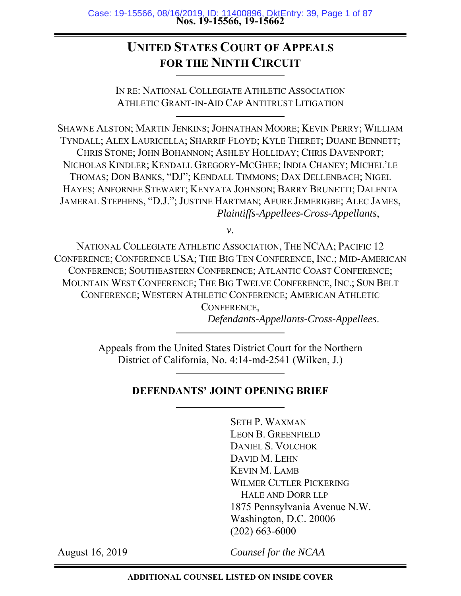# **UNITED STATES COURT OF APPEALS FOR THE NINTH CIRCUIT**

IN RE: NATIONAL COLLEGIATE ATHLETIC ASSOCIATION ATHLETIC GRANT-IN-AID CAP ANTITRUST LITIGATION

SHAWNE ALSTON; MARTIN JENKINS; JOHNATHAN MOORE; KEVIN PERRY; WILLIAM TYNDALL; ALEX LAURICELLA; SHARRIF FLOYD; KYLE THERET; DUANE BENNETT; CHRIS STONE; JOHN BOHANNON; ASHLEY HOLLIDAY; CHRIS DAVENPORT; NICHOLAS KINDLER; KENDALL GREGORY-MCGHEE; INDIA CHANEY; MICHEL'LE THOMAS; DON BANKS, "DJ"; KENDALL TIMMONS; DAX DELLENBACH; NIGEL HAYES; ANFORNEE STEWART; KENYATA JOHNSON; BARRY BRUNETTI; DALENTA JAMERAL STEPHENS, "D.J."; JUSTINE HARTMAN; AFURE JEMERIGBE; ALEC JAMES, *Plaintiffs-Appellees-Cross-Appellants*,

*v.* 

NATIONAL COLLEGIATE ATHLETIC ASSOCIATION, THE NCAA; PACIFIC 12 CONFERENCE; CONFERENCE USA; THE BIG TEN CONFERENCE, INC.; MID-AMERICAN CONFERENCE; SOUTHEASTERN CONFERENCE; ATLANTIC COAST CONFERENCE; MOUNTAIN WEST CONFERENCE; THE BIG TWELVE CONFERENCE, INC.; SUN BELT CONFERENCE; WESTERN ATHLETIC CONFERENCE; AMERICAN ATHLETIC CONFERENCE,

*Defendants-Appellants-Cross-Appellees*.

Appeals from the United States District Court for the Northern District of California, No. 4:14-md-2541 (Wilken, J.)

## **DEFENDANTS' JOINT OPENING BRIEF**

SETH P. WAXMAN LEON B. GREENFIELD DANIEL S. VOLCHOK DAVID M. LEHN KEVIN M. LAMB WILMER CUTLER PICKERING HALE AND DORR LLP 1875 Pennsylvania Avenue N.W. Washington, D.C. 20006 (202) 663-6000

August 16, 2019

*Counsel for the NCAA*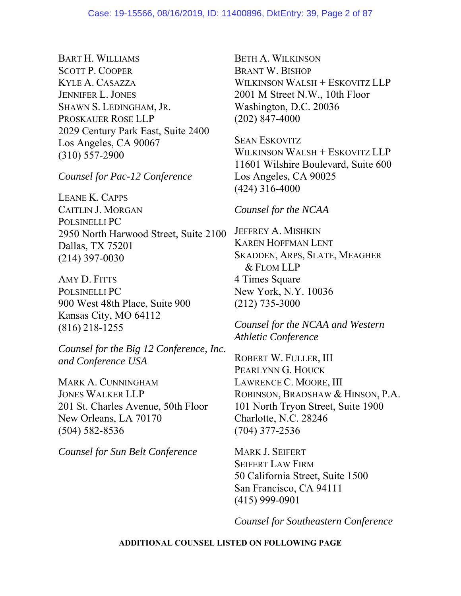BART H. WILLIAMS SCOTT P. COOPER KYLE A. CASAZZA JENNIFER L. JONES SHAWN S. LEDINGHAM, JR. PROSKAUER ROSE LLP 2029 Century Park East, Suite 2400 Los Angeles, CA 90067 (310) 557-2900

*Counsel for Pac-12 Conference* 

LEANE K. CAPPS CAITLIN J. MORGAN POLSINELLI PC 2950 North Harwood Street, Suite 2100 Dallas, TX 75201 (214) 397-0030

AMY D. FITTS POLSINELLI PC 900 West 48th Place, Suite 900 Kansas City, MO 64112 (816) 218-1255

*Counsel for the Big 12 Conference, Inc. and Conference USA*

MARK A. CUNNINGHAM JONES WALKER LLP 201 St. Charles Avenue, 50th Floor New Orleans, LA 70170 (504) 582-8536

*Counsel for Sun Belt Conference*

BETH A. WILKINSON BRANT W. BISHOP WILKINSON WALSH + ESKOVITZ LLP 2001 M Street N.W., 10th Floor Washington, D.C. 20036 (202) 847-4000

SEAN ESKOVITZ WILKINSON WALSH + ESKOVITZ LLP 11601 Wilshire Boulevard, Suite 600 Los Angeles, CA 90025 (424) 316-4000

## *Counsel for the NCAA*

JEFFREY A. MISHKIN KAREN HOFFMAN LENT SKADDEN, ARPS, SLATE, MEAGHER & FLOM LLP 4 Times Square New York, N.Y. 10036 (212) 735-3000

*Counsel for the NCAA and Western Athletic Conference*

ROBERT W. FULLER, III PEARLYNN G. HOUCK LAWRENCE C. MOORE, III ROBINSON, BRADSHAW & HINSON, P.A. 101 North Tryon Street, Suite 1900 Charlotte, N.C. 28246 (704) 377-2536

MARK J. SEIFERT SEIFERT LAW FIRM 50 California Street, Suite 1500 San Francisco, CA 94111 (415) 999-0901

*Counsel for Southeastern Conference* 

#### **ADDITIONAL COUNSEL LISTED ON FOLLOWING PAGE**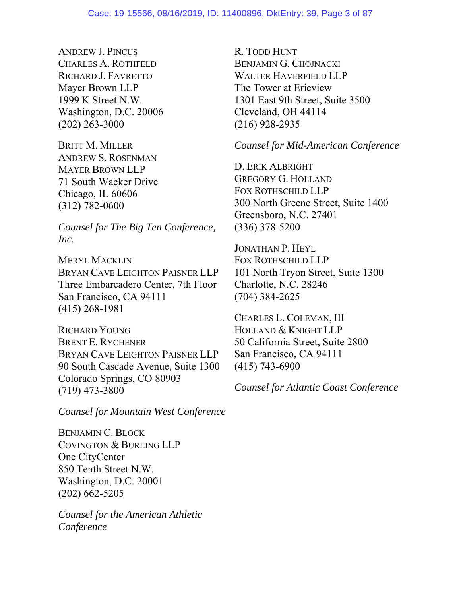ANDREW J. PINCUS CHARLES A. ROTHFELD RICHARD J. FAVRETTO Mayer Brown LLP 1999 K Street N.W. Washington, D.C. 20006 (202) 263-3000

BRITT M. MILLER ANDREW S. ROSENMAN MAYER BROWN LLP 71 South Wacker Drive Chicago, IL 60606 (312) 782-0600

*Counsel for The Big Ten Conference, Inc.* 

MERYL MACKLIN BRYAN CAVE LEIGHTON PAISNER LLP Three Embarcadero Center, 7th Floor San Francisco, CA 94111 (415) 268-1981

RICHARD YOUNG BRENT E. RYCHENER BRYAN CAVE LEIGHTON PAISNER LLP 90 South Cascade Avenue, Suite 1300 Colorado Springs, CO 80903 (719) 473-3800

*Counsel for Mountain West Conference* 

BENJAMIN C. BLOCK COVINGTON & BURLING LLP One CityCenter 850 Tenth Street N.W. Washington, D.C. 20001 (202) 662-5205

*Counsel for the American Athletic Conference* 

R. TODD HUNT BENJAMIN G. CHOJNACKI WALTER HAVERFIELD LLP The Tower at Erieview 1301 East 9th Street, Suite 3500 Cleveland, OH 44114 (216) 928-2935

## *Counsel for Mid-American Conference*

D. ERIK ALBRIGHT GREGORY G. HOLLAND FOX ROTHSCHILD LLP 300 North Greene Street, Suite 1400 Greensboro, N.C. 27401 (336) 378-5200

JONATHAN P. HEYL FOX ROTHSCHILD LLP 101 North Tryon Street, Suite 1300 Charlotte, N.C. 28246 (704) 384-2625

CHARLES L. COLEMAN, III HOLLAND & KNIGHT LLP 50 California Street, Suite 2800 San Francisco, CA 94111 (415) 743-6900

*Counsel for Atlantic Coast Conference*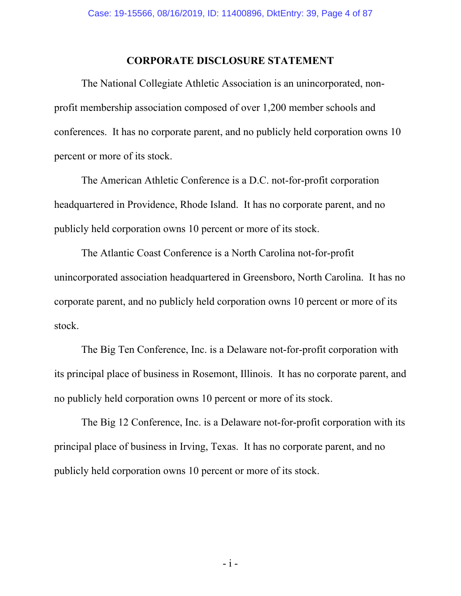## **CORPORATE DISCLOSURE STATEMENT**

The National Collegiate Athletic Association is an unincorporated, nonprofit membership association composed of over 1,200 member schools and conferences. It has no corporate parent, and no publicly held corporation owns 10 percent or more of its stock.

The American Athletic Conference is a D.C. not-for-profit corporation headquartered in Providence, Rhode Island. It has no corporate parent, and no publicly held corporation owns 10 percent or more of its stock.

The Atlantic Coast Conference is a North Carolina not-for-profit unincorporated association headquartered in Greensboro, North Carolina. It has no corporate parent, and no publicly held corporation owns 10 percent or more of its stock.

The Big Ten Conference, Inc. is a Delaware not-for-profit corporation with its principal place of business in Rosemont, Illinois. It has no corporate parent, and no publicly held corporation owns 10 percent or more of its stock.

The Big 12 Conference, Inc. is a Delaware not-for-profit corporation with its principal place of business in Irving, Texas. It has no corporate parent, and no publicly held corporation owns 10 percent or more of its stock.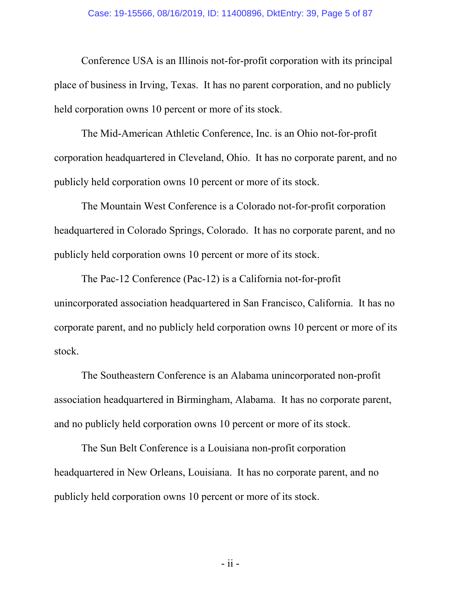Conference USA is an Illinois not-for-profit corporation with its principal place of business in Irving, Texas. It has no parent corporation, and no publicly held corporation owns 10 percent or more of its stock.

The Mid-American Athletic Conference, Inc. is an Ohio not-for-profit corporation headquartered in Cleveland, Ohio. It has no corporate parent, and no publicly held corporation owns 10 percent or more of its stock.

The Mountain West Conference is a Colorado not-for-profit corporation headquartered in Colorado Springs, Colorado. It has no corporate parent, and no publicly held corporation owns 10 percent or more of its stock.

The Pac-12 Conference (Pac-12) is a California not-for-profit unincorporated association headquartered in San Francisco, California. It has no corporate parent, and no publicly held corporation owns 10 percent or more of its stock.

The Southeastern Conference is an Alabama unincorporated non-profit association headquartered in Birmingham, Alabama. It has no corporate parent, and no publicly held corporation owns 10 percent or more of its stock.

The Sun Belt Conference is a Louisiana non-profit corporation headquartered in New Orleans, Louisiana. It has no corporate parent, and no publicly held corporation owns 10 percent or more of its stock.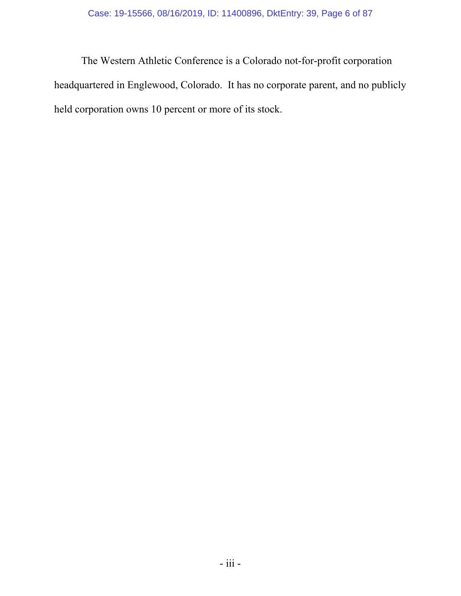The Western Athletic Conference is a Colorado not-for-profit corporation headquartered in Englewood, Colorado. It has no corporate parent, and no publicly held corporation owns 10 percent or more of its stock.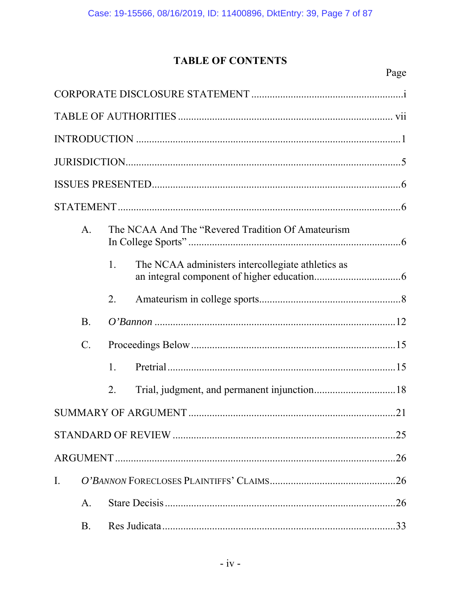# **TABLE OF CONTENTS**

|                | A.              |    | The NCAA And The "Revered Tradition Of Amateurism |
|----------------|-----------------|----|---------------------------------------------------|
|                |                 | 1. | The NCAA administers intercollegiate athletics as |
|                |                 | 2. |                                                   |
|                | <b>B.</b>       |    |                                                   |
|                | $\mathcal{C}$ . |    |                                                   |
|                |                 | 1. |                                                   |
|                |                 | 2. |                                                   |
|                |                 |    |                                                   |
|                |                 |    |                                                   |
| .26            |                 |    |                                                   |
| $\mathbf{I}$ . |                 |    |                                                   |
|                | A.              |    | .26                                               |
|                | <b>B.</b>       |    |                                                   |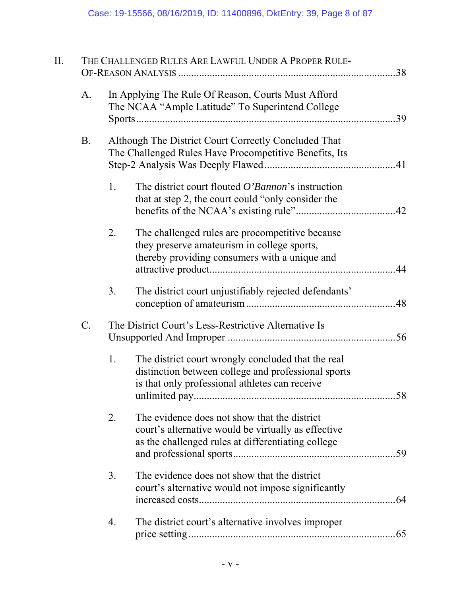| II.   |    | THE CHALLENGED RULES ARE LAWFUL UNDER A PROPER RULE-                                                                                                        |  |
|-------|----|-------------------------------------------------------------------------------------------------------------------------------------------------------------|--|
| A.    |    | In Applying The Rule Of Reason, Courts Must Afford<br>The NCAA "Ample Latitude" To Superintend College                                                      |  |
| Β.    |    | Although The District Court Correctly Concluded That<br>The Challenged Rules Have Procompetitive Benefits, Its                                              |  |
|       | 1. | The district court flouted O'Bannon's instruction<br>that at step 2, the court could "only consider the                                                     |  |
|       | 2. | The challenged rules are procompetitive because<br>they preserve amateurism in college sports,<br>thereby providing consumers with a unique and             |  |
|       | 3. | The district court unjustifiably rejected defendants'                                                                                                       |  |
| $C$ . |    | The District Court's Less-Restrictive Alternative Is                                                                                                        |  |
|       | 1. | The district court wrongly concluded that the real<br>distinction between college and professional sports<br>is that only professional athletes can receive |  |
|       | 2. | The evidence does not show that the district<br>court's alternative would be virtually as effective<br>as the challenged rules at differentiating college   |  |
|       | 3. | The evidence does not show that the district<br>court's alternative would not impose significantly                                                          |  |
|       | 4. | The district court's alternative involves improper                                                                                                          |  |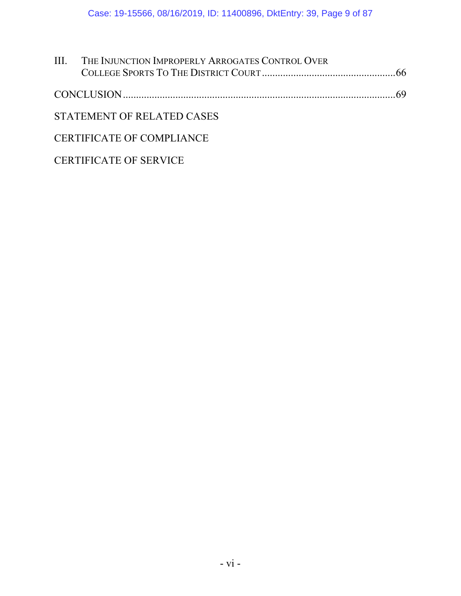| <b>III. THE INJUNCTION IMPROPERLY ARROGATES CONTROL OVER</b> |  |
|--------------------------------------------------------------|--|
|                                                              |  |
|                                                              |  |
| STATEMENT OF RELATED CASES                                   |  |
| CERTIFICATE OF COMPLIANCE                                    |  |

# CERTIFICATE OF SERVICE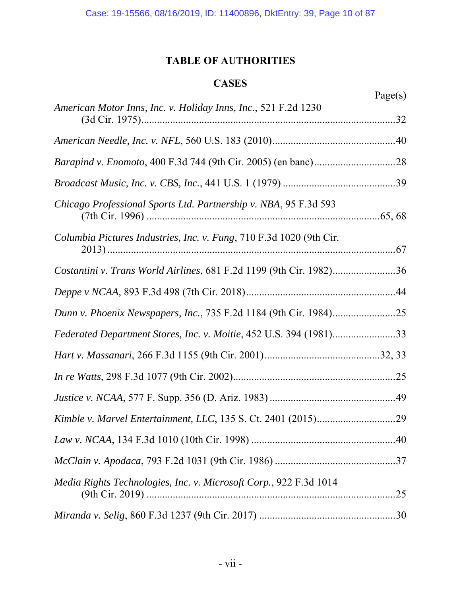## **TABLE OF AUTHORITIES**

## **CASES**

|                                                                     | Page(s) |
|---------------------------------------------------------------------|---------|
| American Motor Inns, Inc. v. Holiday Inns, Inc., 521 F.2d 1230      |         |
|                                                                     |         |
|                                                                     |         |
|                                                                     |         |
| Chicago Professional Sports Ltd. Partnership v. NBA, 95 F.3d 593    |         |
| Columbia Pictures Industries, Inc. v. Fung, 710 F.3d 1020 (9th Cir. |         |
| Costantini v. Trans World Airlines, 681 F.2d 1199 (9th Cir. 1982)36 |         |
|                                                                     |         |
|                                                                     |         |
| Federated Department Stores, Inc. v. Moitie, 452 U.S. 394 (1981)33  |         |
|                                                                     |         |
|                                                                     |         |
|                                                                     |         |
|                                                                     |         |
|                                                                     |         |
|                                                                     |         |
| Media Rights Technologies, Inc. v. Microsoft Corp., 922 F.3d 1014   | .25     |
|                                                                     |         |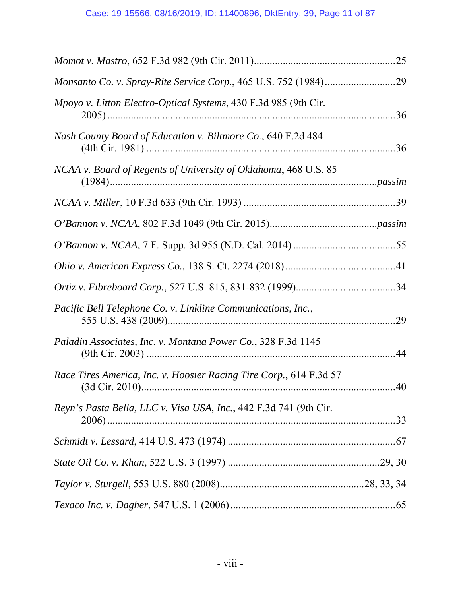|                                                                    | .25 |
|--------------------------------------------------------------------|-----|
|                                                                    |     |
| Mpoyo v. Litton Electro-Optical Systems, 430 F.3d 985 (9th Cir.    | .36 |
| Nash County Board of Education v. Biltmore Co., 640 F.2d 484       |     |
| NCAA v. Board of Regents of University of Oklahoma, 468 U.S. 85    |     |
|                                                                    |     |
|                                                                    |     |
|                                                                    |     |
|                                                                    |     |
|                                                                    |     |
| Pacific Bell Telephone Co. v. Linkline Communications, Inc.,       |     |
| Paladin Associates, Inc. v. Montana Power Co., 328 F.3d 1145       |     |
| Race Tires America, Inc. v. Hoosier Racing Tire Corp., 614 F.3d 57 |     |
| Reyn's Pasta Bella, LLC v. Visa USA, Inc., 442 F.3d 741 (9th Cir.  |     |
|                                                                    |     |
|                                                                    |     |
|                                                                    |     |
|                                                                    |     |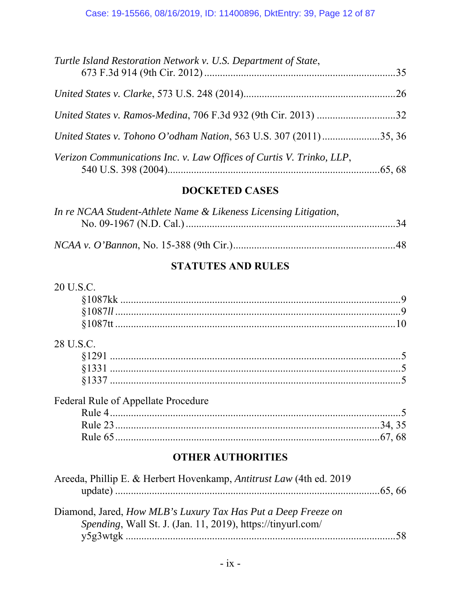| Turtle Island Restoration Network v. U.S. Department of State,       |  |
|----------------------------------------------------------------------|--|
|                                                                      |  |
|                                                                      |  |
| United States v. Tohono O'odham Nation, 563 U.S. 307 (2011)35, 36    |  |
| Verizon Communications Inc. v. Law Offices of Curtis V. Trinko, LLP, |  |

# **DOCKETED CASES**

| In re NCAA Student-Athlete Name & Likeness Licensing Litigation, |  |
|------------------------------------------------------------------|--|
|                                                                  |  |
|                                                                  |  |
|                                                                  |  |

# **STATUTES AND RULES**

| 20 U.S.C.                                                            |    |
|----------------------------------------------------------------------|----|
|                                                                      |    |
|                                                                      |    |
|                                                                      |    |
| 28 U.S.C.                                                            |    |
|                                                                      |    |
|                                                                      |    |
|                                                                      |    |
| <b>Federal Rule of Appellate Procedure</b>                           |    |
|                                                                      |    |
|                                                                      |    |
|                                                                      |    |
| <b>OTHER AUTHORITIES</b>                                             |    |
| Areeda, Phillip E. & Herbert Hovenkamp, Antitrust Law (4th ed. 2019) |    |
|                                                                      |    |
| Diamond, Jared, How MLB's Luxury Tax Has Put a Deep Freeze on        |    |
| Spending, Wall St. J. (Jan. 11, 2019), https://tinyurl.com/          |    |
|                                                                      | 58 |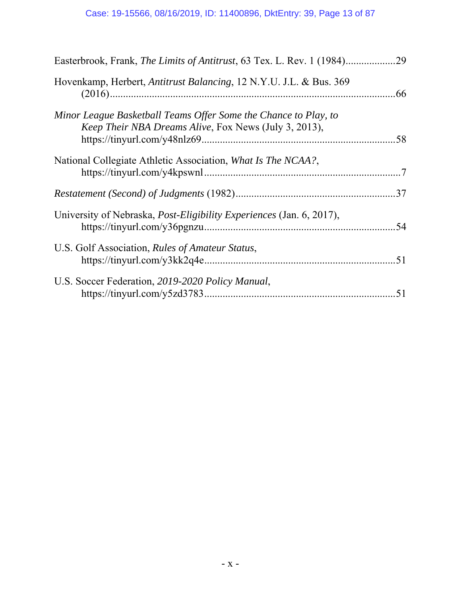| Easterbrook, Frank, The Limits of Antitrust, 63 Tex. L. Rev. 1 (1984)29                                                  |     |
|--------------------------------------------------------------------------------------------------------------------------|-----|
| Hovenkamp, Herbert, Antitrust Balancing, 12 N.Y.U. J.L. & Bus. 369                                                       |     |
| Minor League Basketball Teams Offer Some the Chance to Play, to<br>Keep Their NBA Dreams Alive, Fox News (July 3, 2013), |     |
| National Collegiate Athletic Association, What Is The NCAA?,                                                             |     |
|                                                                                                                          | .37 |
| University of Nebraska, <i>Post-Eligibility Experiences</i> (Jan. 6, 2017),                                              |     |
| U.S. Golf Association, Rules of Amateur Status,                                                                          |     |
| U.S. Soccer Federation, 2019-2020 Policy Manual,                                                                         |     |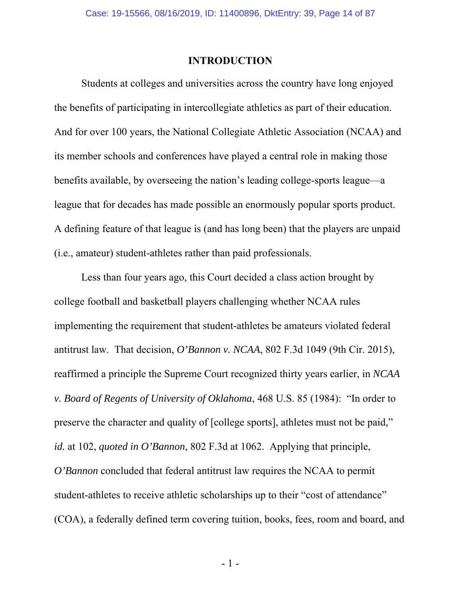## **INTRODUCTION**

Students at colleges and universities across the country have long enjoyed the benefits of participating in intercollegiate athletics as part of their education. And for over 100 years, the National Collegiate Athletic Association (NCAA) and its member schools and conferences have played a central role in making those benefits available, by overseeing the nation's leading college-sports league—a league that for decades has made possible an enormously popular sports product. A defining feature of that league is (and has long been) that the players are unpaid (i.e., amateur) student-athletes rather than paid professionals.

Less than four years ago, this Court decided a class action brought by college football and basketball players challenging whether NCAA rules implementing the requirement that student-athletes be amateurs violated federal antitrust law. That decision, *O'Bannon v. NCAA*, 802 F.3d 1049 (9th Cir. 2015), reaffirmed a principle the Supreme Court recognized thirty years earlier, in *NCAA v. Board of Regents of University of Oklahoma*, 468 U.S. 85 (1984): "In order to preserve the character and quality of [college sports], athletes must not be paid," *id.* at 102, *quoted in O'Bannon*, 802 F.3d at 1062. Applying that principle, *O'Bannon* concluded that federal antitrust law requires the NCAA to permit student-athletes to receive athletic scholarships up to their "cost of attendance" (COA), a federally defined term covering tuition, books, fees, room and board, and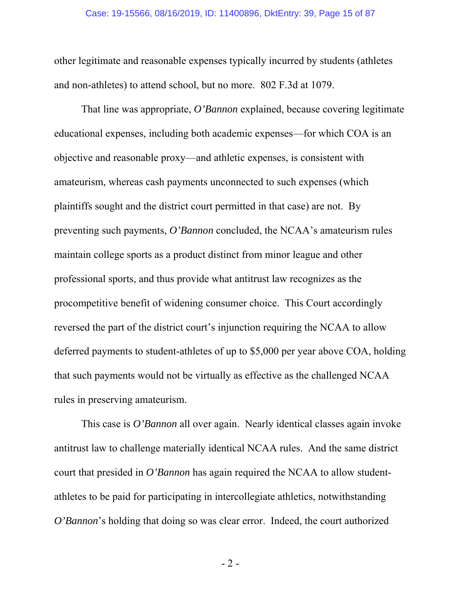#### Case: 19-15566, 08/16/2019, ID: 11400896, DktEntry: 39, Page 15 of 87

other legitimate and reasonable expenses typically incurred by students (athletes and non-athletes) to attend school, but no more. 802 F.3d at 1079.

That line was appropriate, *O'Bannon* explained, because covering legitimate educational expenses, including both academic expenses—for which COA is an objective and reasonable proxy—and athletic expenses, is consistent with amateurism, whereas cash payments unconnected to such expenses (which plaintiffs sought and the district court permitted in that case) are not. By preventing such payments, *O'Bannon* concluded, the NCAA's amateurism rules maintain college sports as a product distinct from minor league and other professional sports, and thus provide what antitrust law recognizes as the procompetitive benefit of widening consumer choice. This Court accordingly reversed the part of the district court's injunction requiring the NCAA to allow deferred payments to student-athletes of up to \$5,000 per year above COA, holding that such payments would not be virtually as effective as the challenged NCAA rules in preserving amateurism.

This case is *O'Bannon* all over again. Nearly identical classes again invoke antitrust law to challenge materially identical NCAA rules. And the same district court that presided in *O'Bannon* has again required the NCAA to allow studentathletes to be paid for participating in intercollegiate athletics, notwithstanding *O'Bannon*'s holding that doing so was clear error. Indeed, the court authorized

- 2 -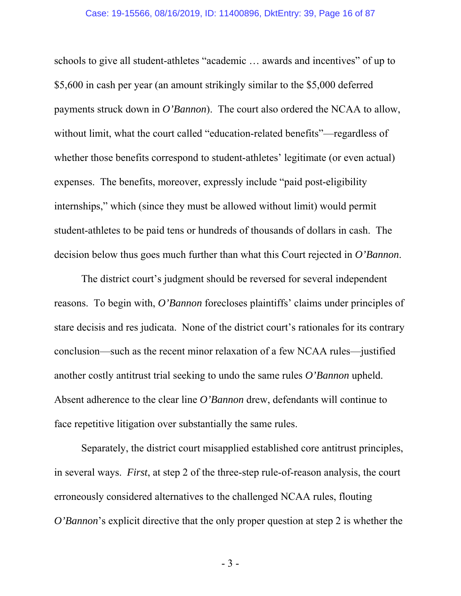schools to give all student-athletes "academic … awards and incentives" of up to \$5,600 in cash per year (an amount strikingly similar to the \$5,000 deferred payments struck down in *O'Bannon*). The court also ordered the NCAA to allow, without limit, what the court called "education-related benefits"—regardless of whether those benefits correspond to student-athletes' legitimate (or even actual) expenses. The benefits, moreover, expressly include "paid post-eligibility internships," which (since they must be allowed without limit) would permit student-athletes to be paid tens or hundreds of thousands of dollars in cash. The decision below thus goes much further than what this Court rejected in *O'Bannon*.

The district court's judgment should be reversed for several independent reasons. To begin with, *O'Bannon* forecloses plaintiffs' claims under principles of stare decisis and res judicata. None of the district court's rationales for its contrary conclusion—such as the recent minor relaxation of a few NCAA rules—justified another costly antitrust trial seeking to undo the same rules *O'Bannon* upheld. Absent adherence to the clear line *O'Bannon* drew, defendants will continue to face repetitive litigation over substantially the same rules.

Separately, the district court misapplied established core antitrust principles, in several ways. *First*, at step 2 of the three-step rule-of-reason analysis, the court erroneously considered alternatives to the challenged NCAA rules, flouting *O'Bannon's* explicit directive that the only proper question at step 2 is whether the

- 3 -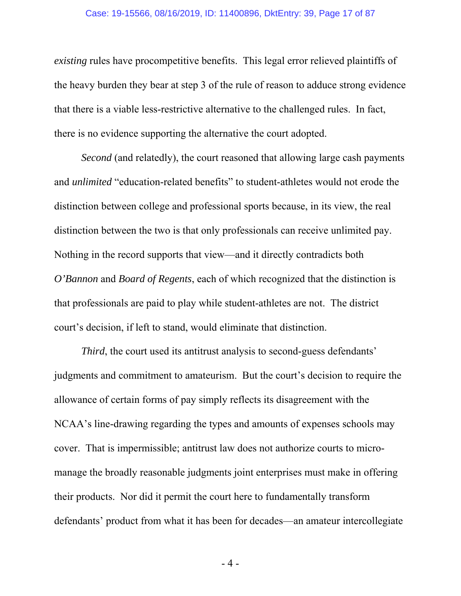#### Case: 19-15566, 08/16/2019, ID: 11400896, DktEntry: 39, Page 17 of 87

*existing* rules have procompetitive benefits. This legal error relieved plaintiffs of the heavy burden they bear at step 3 of the rule of reason to adduce strong evidence that there is a viable less-restrictive alternative to the challenged rules. In fact, there is no evidence supporting the alternative the court adopted.

*Second* (and relatedly), the court reasoned that allowing large cash payments and *unlimited* "education-related benefits" to student-athletes would not erode the distinction between college and professional sports because, in its view, the real distinction between the two is that only professionals can receive unlimited pay. Nothing in the record supports that view—and it directly contradicts both *O'Bannon* and *Board of Regents*, each of which recognized that the distinction is that professionals are paid to play while student-athletes are not. The district court's decision, if left to stand, would eliminate that distinction.

*Third*, the court used its antitrust analysis to second-guess defendants' judgments and commitment to amateurism. But the court's decision to require the allowance of certain forms of pay simply reflects its disagreement with the NCAA's line-drawing regarding the types and amounts of expenses schools may cover. That is impermissible; antitrust law does not authorize courts to micromanage the broadly reasonable judgments joint enterprises must make in offering their products. Nor did it permit the court here to fundamentally transform defendants' product from what it has been for decades—an amateur intercollegiate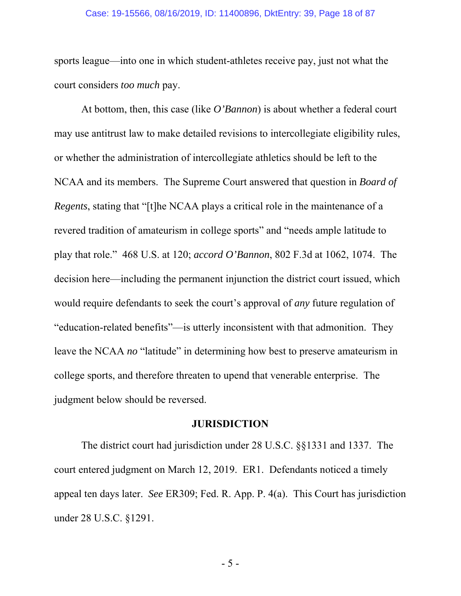#### Case: 19-15566, 08/16/2019, ID: 11400896, DktEntry: 39, Page 18 of 87

sports league—into one in which student-athletes receive pay, just not what the court considers *too much* pay.

At bottom, then, this case (like *O'Bannon*) is about whether a federal court may use antitrust law to make detailed revisions to intercollegiate eligibility rules, or whether the administration of intercollegiate athletics should be left to the NCAA and its members. The Supreme Court answered that question in *Board of Regents*, stating that "[t]he NCAA plays a critical role in the maintenance of a revered tradition of amateurism in college sports" and "needs ample latitude to play that role." 468 U.S. at 120; *accord O'Bannon*, 802 F.3d at 1062, 1074. The decision here—including the permanent injunction the district court issued, which would require defendants to seek the court's approval of *any* future regulation of "education-related benefits"—is utterly inconsistent with that admonition. They leave the NCAA *no* "latitude" in determining how best to preserve amateurism in college sports, and therefore threaten to upend that venerable enterprise. The judgment below should be reversed.

### **JURISDICTION**

The district court had jurisdiction under 28 U.S.C. §§1331 and 1337. The court entered judgment on March 12, 2019. ER1. Defendants noticed a timely appeal ten days later. *See* ER309; Fed. R. App. P. 4(a). This Court has jurisdiction under 28 U.S.C. §1291.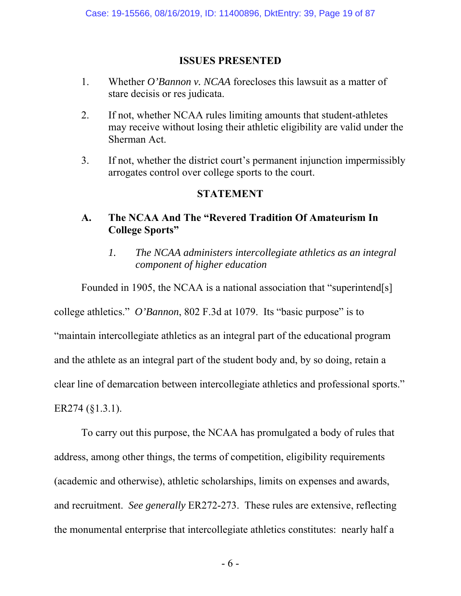## **ISSUES PRESENTED**

- 1. Whether *O'Bannon v. NCAA* forecloses this lawsuit as a matter of stare decisis or res judicata.
- 2. If not, whether NCAA rules limiting amounts that student-athletes may receive without losing their athletic eligibility are valid under the Sherman Act.
- 3. If not, whether the district court's permanent injunction impermissibly arrogates control over college sports to the court.

## **STATEMENT**

## **A. The NCAA And The "Revered Tradition Of Amateurism In College Sports"**

*1. The NCAA administers intercollegiate athletics as an integral component of higher education*

Founded in 1905, the NCAA is a national association that "superintend[s]

college athletics." *O'Bannon*, 802 F.3d at 1079. Its "basic purpose" is to

"maintain intercollegiate athletics as an integral part of the educational program and the athlete as an integral part of the student body and, by so doing, retain a clear line of demarcation between intercollegiate athletics and professional sports." ER274 (§1.3.1).

To carry out this purpose, the NCAA has promulgated a body of rules that address, among other things, the terms of competition, eligibility requirements (academic and otherwise), athletic scholarships, limits on expenses and awards, and recruitment. *See generally* ER272-273. These rules are extensive, reflecting the monumental enterprise that intercollegiate athletics constitutes: nearly half a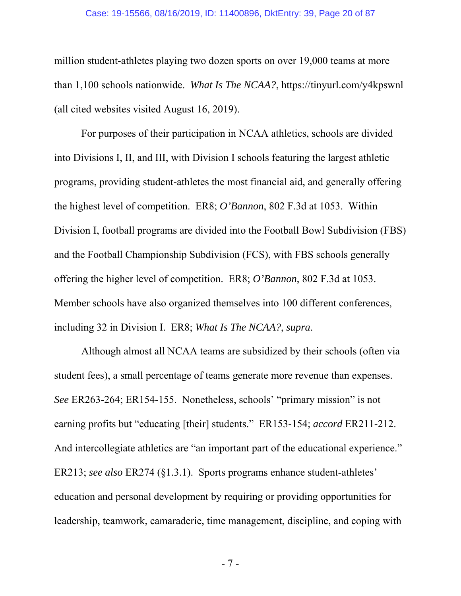#### Case: 19-15566, 08/16/2019, ID: 11400896, DktEntry: 39, Page 20 of 87

million student-athletes playing two dozen sports on over 19,000 teams at more than 1,100 schools nationwide. *What Is The NCAA?*, https://tinyurl.com/y4kpswnl (all cited websites visited August 16, 2019).

For purposes of their participation in NCAA athletics, schools are divided into Divisions I, II, and III, with Division I schools featuring the largest athletic programs, providing student-athletes the most financial aid, and generally offering the highest level of competition. ER8; *O'Bannon*, 802 F.3d at 1053. Within Division I, football programs are divided into the Football Bowl Subdivision (FBS) and the Football Championship Subdivision (FCS), with FBS schools generally offering the higher level of competition. ER8; *O'Bannon*, 802 F.3d at 1053. Member schools have also organized themselves into 100 different conferences, including 32 in Division I. ER8; *What Is The NCAA?*, *supra*.

Although almost all NCAA teams are subsidized by their schools (often via student fees), a small percentage of teams generate more revenue than expenses. *See* ER263-264; ER154-155. Nonetheless, schools' "primary mission" is not earning profits but "educating [their] students." ER153-154; *accord* ER211-212. And intercollegiate athletics are "an important part of the educational experience." ER213; *see also* ER274 (§1.3.1). Sports programs enhance student-athletes' education and personal development by requiring or providing opportunities for leadership, teamwork, camaraderie, time management, discipline, and coping with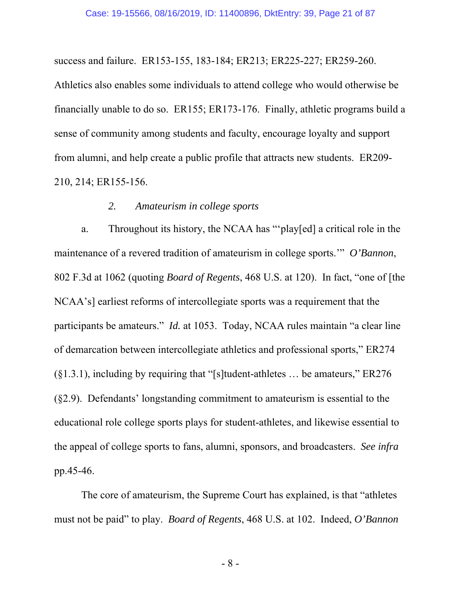success and failure. ER153-155, 183-184; ER213; ER225-227; ER259-260.

Athletics also enables some individuals to attend college who would otherwise be financially unable to do so. ER155; ER173-176. Finally, athletic programs build a sense of community among students and faculty, encourage loyalty and support from alumni, and help create a public profile that attracts new students. ER209- 210, 214; ER155-156.

## *2. Amateurism in college sports*

a. Throughout its history, the NCAA has "'play[ed] a critical role in the maintenance of a revered tradition of amateurism in college sports.'" *O'Bannon*, 802 F.3d at 1062 (quoting *Board of Regents*, 468 U.S. at 120). In fact, "one of [the NCAA's] earliest reforms of intercollegiate sports was a requirement that the participants be amateurs." *Id.* at 1053. Today, NCAA rules maintain "a clear line of demarcation between intercollegiate athletics and professional sports," ER274  $(81.3.1)$ , including by requiring that "[s]tudent-athletes ... be amateurs," ER276 (§2.9). Defendants' longstanding commitment to amateurism is essential to the educational role college sports plays for student-athletes, and likewise essential to the appeal of college sports to fans, alumni, sponsors, and broadcasters. *See infra* pp.45-46.

The core of amateurism, the Supreme Court has explained, is that "athletes must not be paid" to play. *Board of Regents*, 468 U.S. at 102. Indeed, *O'Bannon*

- 8 -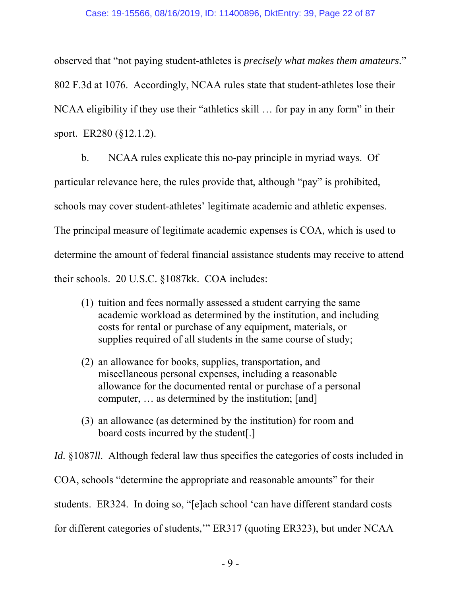### Case: 19-15566, 08/16/2019, ID: 11400896, DktEntry: 39, Page 22 of 87

observed that "not paying student-athletes is *precisely what makes them amateurs*." 802 F.3d at 1076. Accordingly, NCAA rules state that student-athletes lose their NCAA eligibility if they use their "athletics skill … for pay in any form" in their sport. ER280 (§12.1.2).

b. NCAA rules explicate this no-pay principle in myriad ways. Of particular relevance here, the rules provide that, although "pay" is prohibited, schools may cover student-athletes' legitimate academic and athletic expenses. The principal measure of legitimate academic expenses is COA, which is used to determine the amount of federal financial assistance students may receive to attend their schools. 20 U.S.C. §1087kk. COA includes:

- (1) tuition and fees normally assessed a student carrying the same academic workload as determined by the institution, and including costs for rental or purchase of any equipment, materials, or supplies required of all students in the same course of study;
- (2) an allowance for books, supplies, transportation, and miscellaneous personal expenses, including a reasonable allowance for the documented rental or purchase of a personal computer, … as determined by the institution; [and]
- (3) an allowance (as determined by the institution) for room and board costs incurred by the student[.]

*Id.* §1087*ll*. Although federal law thus specifies the categories of costs included in COA, schools "determine the appropriate and reasonable amounts" for their students. ER324. In doing so, "[e]ach school 'can have different standard costs for different categories of students,'" ER317 (quoting ER323), but under NCAA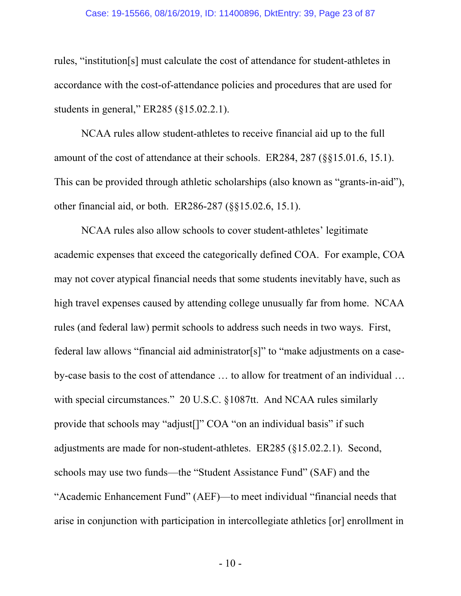### Case: 19-15566, 08/16/2019, ID: 11400896, DktEntry: 39, Page 23 of 87

rules, "institution[s] must calculate the cost of attendance for student-athletes in accordance with the cost-of-attendance policies and procedures that are used for students in general," ER285 (§15.02.2.1).

NCAA rules allow student-athletes to receive financial aid up to the full amount of the cost of attendance at their schools. ER284, 287 (§§15.01.6, 15.1). This can be provided through athletic scholarships (also known as "grants-in-aid"), other financial aid, or both. ER286-287 (§§15.02.6, 15.1).

NCAA rules also allow schools to cover student-athletes' legitimate academic expenses that exceed the categorically defined COA. For example, COA may not cover atypical financial needs that some students inevitably have, such as high travel expenses caused by attending college unusually far from home. NCAA rules (and federal law) permit schools to address such needs in two ways. First, federal law allows "financial aid administrator[s]" to "make adjustments on a caseby-case basis to the cost of attendance … to allow for treatment of an individual … with special circumstances." 20 U.S.C. §1087tt. And NCAA rules similarly provide that schools may "adjust[]" COA "on an individual basis" if such adjustments are made for non-student-athletes. ER285 (§15.02.2.1). Second, schools may use two funds—the "Student Assistance Fund" (SAF) and the "Academic Enhancement Fund" (AEF)—to meet individual "financial needs that arise in conjunction with participation in intercollegiate athletics [or] enrollment in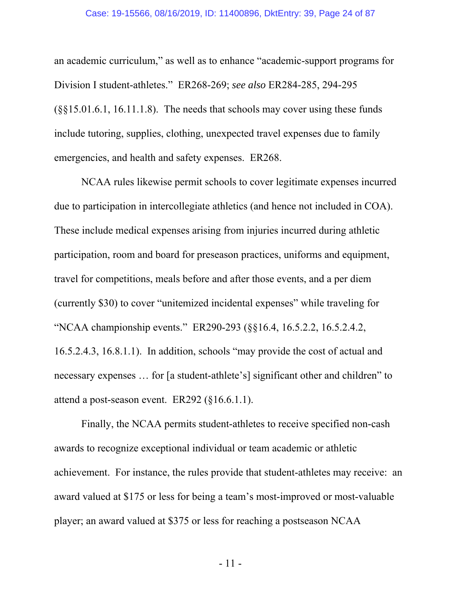#### Case: 19-15566, 08/16/2019, ID: 11400896, DktEntry: 39, Page 24 of 87

an academic curriculum," as well as to enhance "academic-support programs for Division I student-athletes." ER268-269; *see also* ER284-285, 294-295 (§§15.01.6.1, 16.11.1.8). The needs that schools may cover using these funds include tutoring, supplies, clothing, unexpected travel expenses due to family emergencies, and health and safety expenses. ER268.

NCAA rules likewise permit schools to cover legitimate expenses incurred due to participation in intercollegiate athletics (and hence not included in COA). These include medical expenses arising from injuries incurred during athletic participation, room and board for preseason practices, uniforms and equipment, travel for competitions, meals before and after those events, and a per diem (currently \$30) to cover "unitemized incidental expenses" while traveling for "NCAA championship events." ER290-293 (§§16.4, 16.5.2.2, 16.5.2.4.2, 16.5.2.4.3, 16.8.1.1). In addition, schools "may provide the cost of actual and necessary expenses … for [a student-athlete's] significant other and children" to attend a post-season event. ER292 (§16.6.1.1).

Finally, the NCAA permits student-athletes to receive specified non-cash awards to recognize exceptional individual or team academic or athletic achievement. For instance, the rules provide that student-athletes may receive: an award valued at \$175 or less for being a team's most-improved or most-valuable player; an award valued at \$375 or less for reaching a postseason NCAA

- 11 -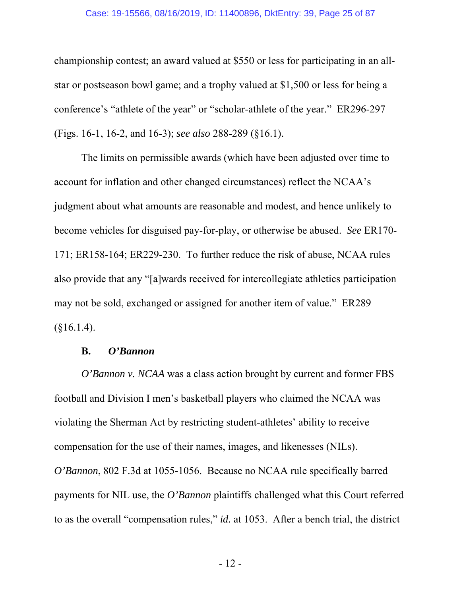### Case: 19-15566, 08/16/2019, ID: 11400896, DktEntry: 39, Page 25 of 87

championship contest; an award valued at \$550 or less for participating in an allstar or postseason bowl game; and a trophy valued at \$1,500 or less for being a conference's "athlete of the year" or "scholar-athlete of the year." ER296-297 (Figs. 16-1, 16-2, and 16-3); *see also* 288-289 (§16.1).

The limits on permissible awards (which have been adjusted over time to account for inflation and other changed circumstances) reflect the NCAA's judgment about what amounts are reasonable and modest, and hence unlikely to become vehicles for disguised pay-for-play, or otherwise be abused. *See* ER170- 171; ER158-164; ER229-230. To further reduce the risk of abuse, NCAA rules also provide that any "[a]wards received for intercollegiate athletics participation may not be sold, exchanged or assigned for another item of value." ER289  $($16.1.4).$ 

## **B.** *O'Bannon*

*O'Bannon v. NCAA* was a class action brought by current and former FBS football and Division I men's basketball players who claimed the NCAA was violating the Sherman Act by restricting student-athletes' ability to receive compensation for the use of their names, images, and likenesses (NILs). *O'Bannon*, 802 F.3d at 1055-1056. Because no NCAA rule specifically barred payments for NIL use, the *O'Bannon* plaintiffs challenged what this Court referred to as the overall "compensation rules," *id.* at 1053. After a bench trial, the district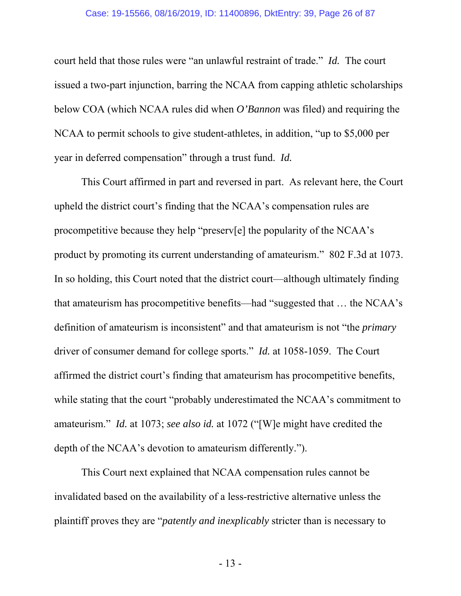### Case: 19-15566, 08/16/2019, ID: 11400896, DktEntry: 39, Page 26 of 87

court held that those rules were "an unlawful restraint of trade." *Id.* The court issued a two-part injunction, barring the NCAA from capping athletic scholarships below COA (which NCAA rules did when *O'Bannon* was filed) and requiring the NCAA to permit schools to give student-athletes, in addition, "up to \$5,000 per year in deferred compensation" through a trust fund. *Id.*

This Court affirmed in part and reversed in part. As relevant here, the Court upheld the district court's finding that the NCAA's compensation rules are procompetitive because they help "preserv[e] the popularity of the NCAA's product by promoting its current understanding of amateurism." 802 F.3d at 1073. In so holding, this Court noted that the district court—although ultimately finding that amateurism has procompetitive benefits—had "suggested that … the NCAA's definition of amateurism is inconsistent" and that amateurism is not "the *primary* driver of consumer demand for college sports." *Id.* at 1058-1059. The Court affirmed the district court's finding that amateurism has procompetitive benefits, while stating that the court "probably underestimated the NCAA's commitment to amateurism." *Id.* at 1073; *see also id.* at 1072 ("[W]e might have credited the depth of the NCAA's devotion to amateurism differently.").

This Court next explained that NCAA compensation rules cannot be invalidated based on the availability of a less-restrictive alternative unless the plaintiff proves they are "*patently and inexplicably* stricter than is necessary to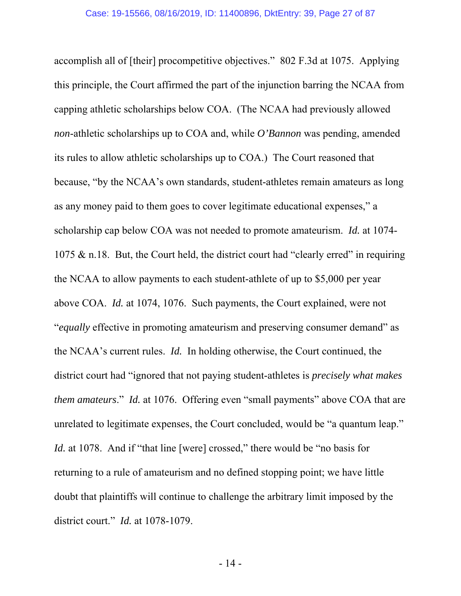accomplish all of [their] procompetitive objectives." 802 F.3d at 1075. Applying this principle, the Court affirmed the part of the injunction barring the NCAA from capping athletic scholarships below COA. (The NCAA had previously allowed *non*-athletic scholarships up to COA and, while *O'Bannon* was pending, amended its rules to allow athletic scholarships up to COA.) The Court reasoned that because, "by the NCAA's own standards, student-athletes remain amateurs as long as any money paid to them goes to cover legitimate educational expenses," a scholarship cap below COA was not needed to promote amateurism. *Id.* at 1074- 1075 & n.18. But, the Court held, the district court had "clearly erred" in requiring the NCAA to allow payments to each student-athlete of up to \$5,000 per year above COA. *Id.* at 1074, 1076. Such payments, the Court explained, were not "*equally* effective in promoting amateurism and preserving consumer demand" as the NCAA's current rules. *Id.* In holding otherwise, the Court continued, the district court had "ignored that not paying student-athletes is *precisely what makes them amateurs*." *Id.* at 1076. Offering even "small payments" above COA that are unrelated to legitimate expenses, the Court concluded, would be "a quantum leap." *Id.* at 1078. And if "that line [were] crossed," there would be "no basis for returning to a rule of amateurism and no defined stopping point; we have little doubt that plaintiffs will continue to challenge the arbitrary limit imposed by the district court." *Id.* at 1078-1079.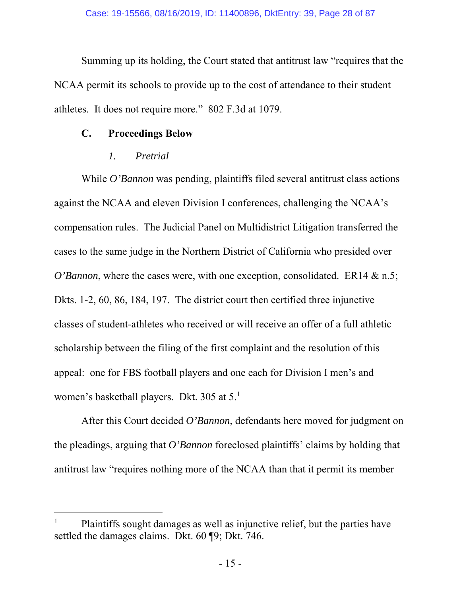Summing up its holding, the Court stated that antitrust law "requires that the NCAA permit its schools to provide up to the cost of attendance to their student athletes. It does not require more." 802 F.3d at 1079.

## **C. Proceedings Below**

## *1. Pretrial*

-

While *O'Bannon* was pending, plaintiffs filed several antitrust class actions against the NCAA and eleven Division I conferences, challenging the NCAA's compensation rules. The Judicial Panel on Multidistrict Litigation transferred the cases to the same judge in the Northern District of California who presided over *O'Bannon*, where the cases were, with one exception, consolidated. ER14 & n.5; Dkts. 1-2, 60, 86, 184, 197. The district court then certified three injunctive classes of student-athletes who received or will receive an offer of a full athletic scholarship between the filing of the first complaint and the resolution of this appeal: one for FBS football players and one each for Division I men's and women's basketball players. Dkt. 305 at 5.1

After this Court decided *O'Bannon*, defendants here moved for judgment on the pleadings, arguing that *O'Bannon* foreclosed plaintiffs' claims by holding that antitrust law "requires nothing more of the NCAA than that it permit its member

<sup>1</sup> Plaintiffs sought damages as well as injunctive relief, but the parties have settled the damages claims. Dkt. 60 ¶9; Dkt. 746.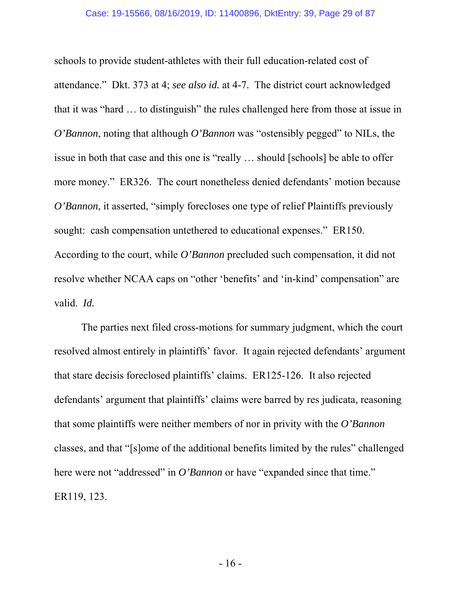schools to provide student-athletes with their full education-related cost of attendance." Dkt. 373 at 4; *see also id.* at 4-7. The district court acknowledged that it was "hard … to distinguish" the rules challenged here from those at issue in *O'Bannon*, noting that although *O'Bannon* was "ostensibly pegged" to NILs, the issue in both that case and this one is "really … should [schools] be able to offer more money." ER326. The court nonetheless denied defendants' motion because *O'Bannon*, it asserted, "simply forecloses one type of relief Plaintiffs previously sought: cash compensation untethered to educational expenses." ER150. According to the court, while *O'Bannon* precluded such compensation, it did not resolve whether NCAA caps on "other 'benefits' and 'in-kind' compensation" are valid. *Id.*

The parties next filed cross-motions for summary judgment, which the court resolved almost entirely in plaintiffs' favor. It again rejected defendants' argument that stare decisis foreclosed plaintiffs' claims. ER125-126. It also rejected defendants' argument that plaintiffs' claims were barred by res judicata, reasoning that some plaintiffs were neither members of nor in privity with the *O'Bannon* classes, and that "[s]ome of the additional benefits limited by the rules" challenged here were not "addressed" in *O'Bannon* or have "expanded since that time." ER119, 123.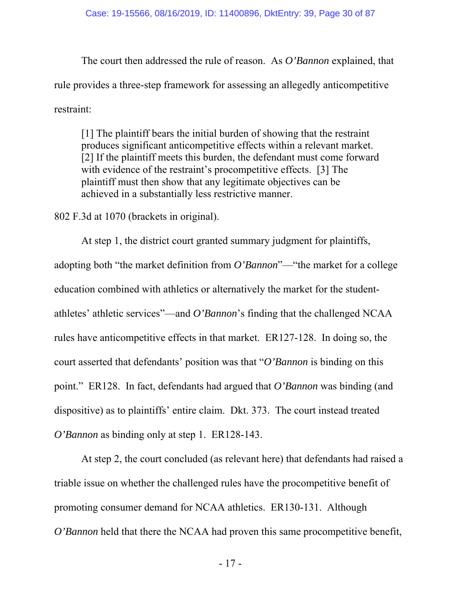The court then addressed the rule of reason. As *O'Bannon* explained, that rule provides a three-step framework for assessing an allegedly anticompetitive restraint:

[1] The plaintiff bears the initial burden of showing that the restraint produces significant anticompetitive effects within a relevant market. [2] If the plaintiff meets this burden, the defendant must come forward with evidence of the restraint's procompetitive effects. [3] The plaintiff must then show that any legitimate objectives can be achieved in a substantially less restrictive manner.

802 F.3d at 1070 (brackets in original).

At step 1, the district court granted summary judgment for plaintiffs, adopting both "the market definition from *O'Bannon*"—"the market for a college education combined with athletics or alternatively the market for the studentathletes' athletic services"—and *O'Bannon*'s finding that the challenged NCAA rules have anticompetitive effects in that market. ER127-128. In doing so, the court asserted that defendants' position was that "*O'Bannon* is binding on this point." ER128. In fact, defendants had argued that *O'Bannon* was binding (and dispositive) as to plaintiffs' entire claim. Dkt. 373. The court instead treated *O'Bannon* as binding only at step 1. ER128-143.

At step 2, the court concluded (as relevant here) that defendants had raised a triable issue on whether the challenged rules have the procompetitive benefit of promoting consumer demand for NCAA athletics. ER130-131. Although *O'Bannon* held that there the NCAA had proven this same procompetitive benefit,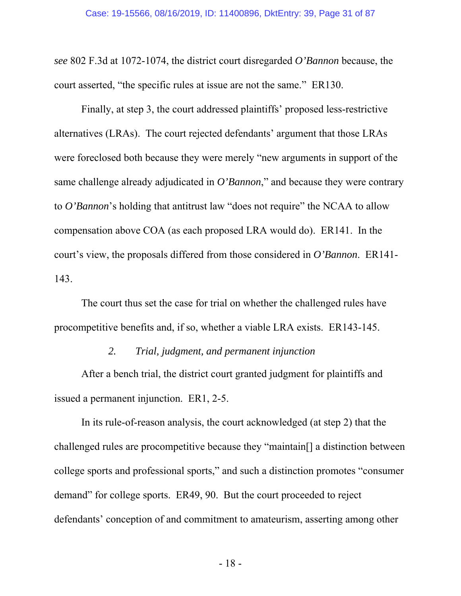*see* 802 F.3d at 1072-1074, the district court disregarded *O'Bannon* because, the court asserted, "the specific rules at issue are not the same." ER130.

Finally, at step 3, the court addressed plaintiffs' proposed less-restrictive alternatives (LRAs). The court rejected defendants' argument that those LRAs were foreclosed both because they were merely "new arguments in support of the same challenge already adjudicated in *O'Bannon*," and because they were contrary to *O'Bannon*'s holding that antitrust law "does not require" the NCAA to allow compensation above COA (as each proposed LRA would do). ER141. In the court's view, the proposals differed from those considered in *O'Bannon*. ER141- 143.

The court thus set the case for trial on whether the challenged rules have procompetitive benefits and, if so, whether a viable LRA exists. ER143-145.

## *2. Trial, judgment, and permanent injunction*

After a bench trial, the district court granted judgment for plaintiffs and issued a permanent injunction. ER1, 2-5.

In its rule-of-reason analysis, the court acknowledged (at step 2) that the challenged rules are procompetitive because they "maintain[] a distinction between college sports and professional sports," and such a distinction promotes "consumer demand" for college sports. ER49, 90. But the court proceeded to reject defendants' conception of and commitment to amateurism, asserting among other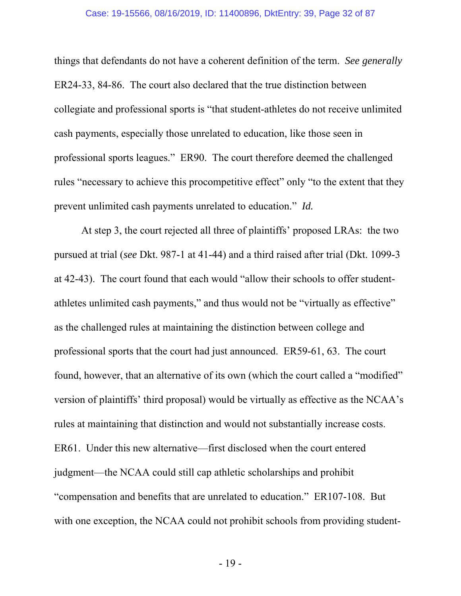#### Case: 19-15566, 08/16/2019, ID: 11400896, DktEntry: 39, Page 32 of 87

things that defendants do not have a coherent definition of the term. *See generally* ER24-33, 84-86. The court also declared that the true distinction between collegiate and professional sports is "that student-athletes do not receive unlimited cash payments, especially those unrelated to education, like those seen in professional sports leagues." ER90. The court therefore deemed the challenged rules "necessary to achieve this procompetitive effect" only "to the extent that they prevent unlimited cash payments unrelated to education." *Id.*

At step 3, the court rejected all three of plaintiffs' proposed LRAs: the two pursued at trial (*see* Dkt. 987-1 at 41-44) and a third raised after trial (Dkt. 1099-3 at 42-43). The court found that each would "allow their schools to offer studentathletes unlimited cash payments," and thus would not be "virtually as effective" as the challenged rules at maintaining the distinction between college and professional sports that the court had just announced. ER59-61, 63. The court found, however, that an alternative of its own (which the court called a "modified" version of plaintiffs' third proposal) would be virtually as effective as the NCAA's rules at maintaining that distinction and would not substantially increase costs. ER61. Under this new alternative—first disclosed when the court entered judgment—the NCAA could still cap athletic scholarships and prohibit "compensation and benefits that are unrelated to education." ER107-108. But with one exception, the NCAA could not prohibit schools from providing student-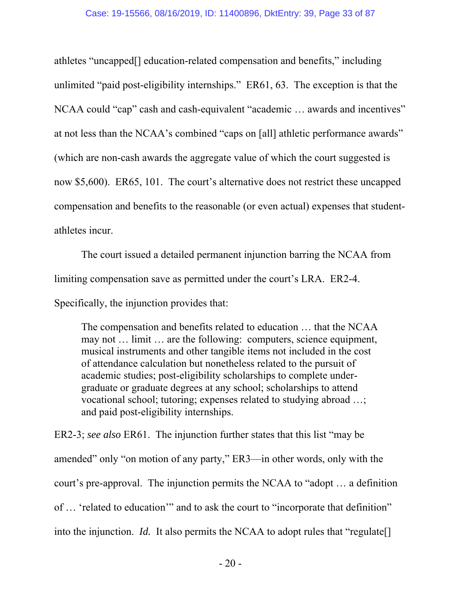athletes "uncapped[] education-related compensation and benefits," including unlimited "paid post-eligibility internships." ER61, 63. The exception is that the NCAA could "cap" cash and cash-equivalent "academic … awards and incentives" at not less than the NCAA's combined "caps on [all] athletic performance awards" (which are non-cash awards the aggregate value of which the court suggested is now \$5,600). ER65, 101. The court's alternative does not restrict these uncapped compensation and benefits to the reasonable (or even actual) expenses that studentathletes incur.

The court issued a detailed permanent injunction barring the NCAA from limiting compensation save as permitted under the court's LRA. ER2-4.

Specifically, the injunction provides that:

The compensation and benefits related to education … that the NCAA may not … limit … are the following: computers, science equipment, musical instruments and other tangible items not included in the cost of attendance calculation but nonetheless related to the pursuit of academic studies; post-eligibility scholarships to complete undergraduate or graduate degrees at any school; scholarships to attend vocational school; tutoring; expenses related to studying abroad …; and paid post-eligibility internships.

ER2-3; *see also* ER61. The injunction further states that this list "may be amended" only "on motion of any party," ER3—in other words, only with the court's pre-approval. The injunction permits the NCAA to "adopt … a definition of … 'related to education'" and to ask the court to "incorporate that definition" into the injunction. *Id.* It also permits the NCAA to adopt rules that "regulate[]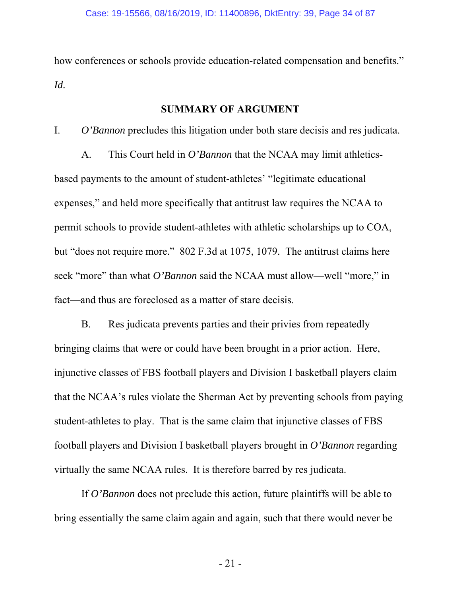how conferences or schools provide education-related compensation and benefits." *Id.*

## **SUMMARY OF ARGUMENT**

I. *O'Bannon* precludes this litigation under both stare decisis and res judicata.

A. This Court held in *O'Bannon* that the NCAA may limit athleticsbased payments to the amount of student-athletes' "legitimate educational expenses," and held more specifically that antitrust law requires the NCAA to permit schools to provide student-athletes with athletic scholarships up to COA, but "does not require more." 802 F.3d at 1075, 1079. The antitrust claims here seek "more" than what *O'Bannon* said the NCAA must allow—well "more," in fact—and thus are foreclosed as a matter of stare decisis.

B. Res judicata prevents parties and their privies from repeatedly bringing claims that were or could have been brought in a prior action. Here, injunctive classes of FBS football players and Division I basketball players claim that the NCAA's rules violate the Sherman Act by preventing schools from paying student-athletes to play. That is the same claim that injunctive classes of FBS football players and Division I basketball players brought in *O'Bannon* regarding virtually the same NCAA rules. It is therefore barred by res judicata.

If *O'Bannon* does not preclude this action, future plaintiffs will be able to bring essentially the same claim again and again, such that there would never be

- 21 -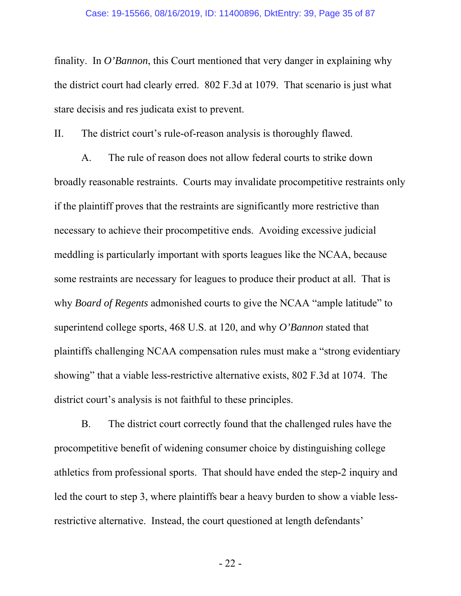finality. In *O'Bannon*, this Court mentioned that very danger in explaining why the district court had clearly erred. 802 F.3d at 1079. That scenario is just what stare decisis and res judicata exist to prevent.

II. The district court's rule-of-reason analysis is thoroughly flawed.

A. The rule of reason does not allow federal courts to strike down broadly reasonable restraints. Courts may invalidate procompetitive restraints only if the plaintiff proves that the restraints are significantly more restrictive than necessary to achieve their procompetitive ends. Avoiding excessive judicial meddling is particularly important with sports leagues like the NCAA, because some restraints are necessary for leagues to produce their product at all. That is why *Board of Regents* admonished courts to give the NCAA "ample latitude" to superintend college sports, 468 U.S. at 120, and why *O'Bannon* stated that plaintiffs challenging NCAA compensation rules must make a "strong evidentiary showing" that a viable less-restrictive alternative exists, 802 F.3d at 1074. The district court's analysis is not faithful to these principles.

B. The district court correctly found that the challenged rules have the procompetitive benefit of widening consumer choice by distinguishing college athletics from professional sports. That should have ended the step-2 inquiry and led the court to step 3, where plaintiffs bear a heavy burden to show a viable lessrestrictive alternative. Instead, the court questioned at length defendants'

- 22 -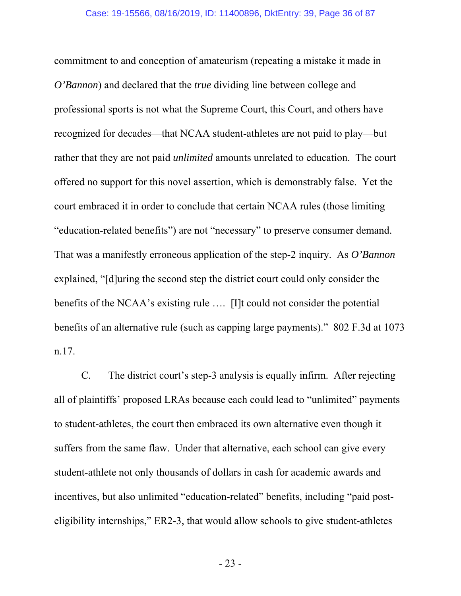commitment to and conception of amateurism (repeating a mistake it made in *O'Bannon*) and declared that the *true* dividing line between college and professional sports is not what the Supreme Court, this Court, and others have recognized for decades—that NCAA student-athletes are not paid to play—but rather that they are not paid *unlimited* amounts unrelated to education. The court offered no support for this novel assertion, which is demonstrably false. Yet the court embraced it in order to conclude that certain NCAA rules (those limiting "education-related benefits") are not "necessary" to preserve consumer demand. That was a manifestly erroneous application of the step-2 inquiry. As *O'Bannon* explained, "[d]uring the second step the district court could only consider the benefits of the NCAA's existing rule …. [I]t could not consider the potential benefits of an alternative rule (such as capping large payments)." 802 F.3d at 1073 n.17.

C. The district court's step-3 analysis is equally infirm. After rejecting all of plaintiffs' proposed LRAs because each could lead to "unlimited" payments to student-athletes, the court then embraced its own alternative even though it suffers from the same flaw. Under that alternative, each school can give every student-athlete not only thousands of dollars in cash for academic awards and incentives, but also unlimited "education-related" benefits, including "paid posteligibility internships," ER2-3, that would allow schools to give student-athletes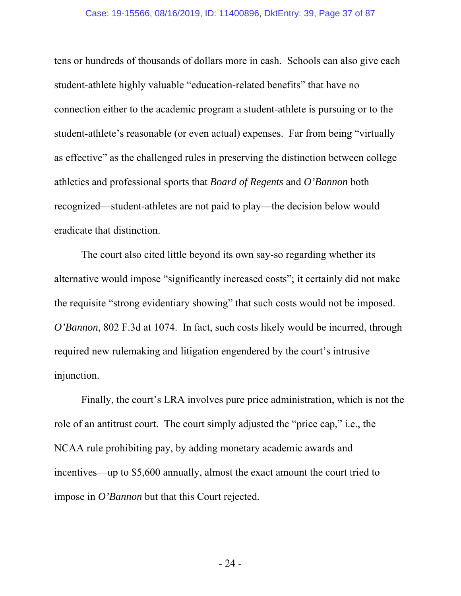#### Case: 19-15566, 08/16/2019, ID: 11400896, DktEntry: 39, Page 37 of 87

tens or hundreds of thousands of dollars more in cash. Schools can also give each student-athlete highly valuable "education-related benefits" that have no connection either to the academic program a student-athlete is pursuing or to the student-athlete's reasonable (or even actual) expenses. Far from being "virtually as effective" as the challenged rules in preserving the distinction between college athletics and professional sports that *Board of Regents* and *O'Bannon* both recognized—student-athletes are not paid to play—the decision below would eradicate that distinction.

The court also cited little beyond its own say-so regarding whether its alternative would impose "significantly increased costs"; it certainly did not make the requisite "strong evidentiary showing" that such costs would not be imposed. *O'Bannon*, 802 F.3d at 1074. In fact, such costs likely would be incurred, through required new rulemaking and litigation engendered by the court's intrusive injunction.

Finally, the court's LRA involves pure price administration, which is not the role of an antitrust court. The court simply adjusted the "price cap," i.e., the NCAA rule prohibiting pay, by adding monetary academic awards and incentives—up to \$5,600 annually, almost the exact amount the court tried to impose in *O'Bannon* but that this Court rejected.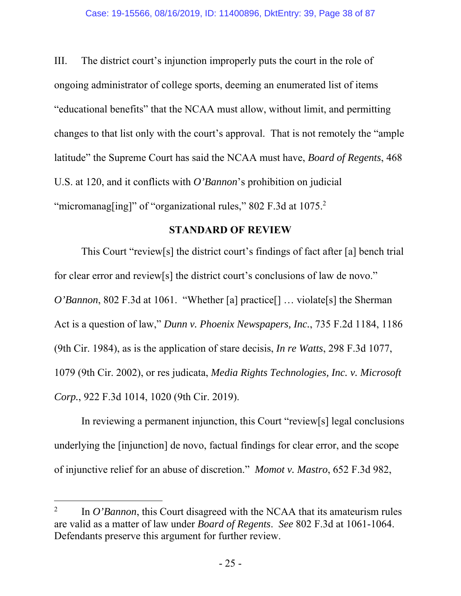III. The district court's injunction improperly puts the court in the role of ongoing administrator of college sports, deeming an enumerated list of items "educational benefits" that the NCAA must allow, without limit, and permitting changes to that list only with the court's approval. That is not remotely the "ample latitude" the Supreme Court has said the NCAA must have, *Board of Regents*, 468 U.S. at 120, and it conflicts with *O'Bannon*'s prohibition on judicial "micromanag[ing]" of "organizational rules," 802 F.3d at 1075.<sup>2</sup>

## **STANDARD OF REVIEW**

This Court "review[s] the district court's findings of fact after [a] bench trial for clear error and review[s] the district court's conclusions of law de novo." *O'Bannon*, 802 F.3d at 1061. "Whether [a] practice[] ... violate[s] the Sherman Act is a question of law," *Dunn v. Phoenix Newspapers, Inc.*, 735 F.2d 1184, 1186 (9th Cir. 1984), as is the application of stare decisis, *In re Watts*, 298 F.3d 1077, 1079 (9th Cir. 2002), or res judicata, *Media Rights Technologies, Inc. v. Microsoft Corp.*, 922 F.3d 1014, 1020 (9th Cir. 2019).

In reviewing a permanent injunction, this Court "review[s] legal conclusions underlying the [injunction] de novo, factual findings for clear error, and the scope of injunctive relief for an abuse of discretion." *Momot v. Mastro*, 652 F.3d 982,

 $\overline{a}$ 

<sup>2</sup> In *O'Bannon*, this Court disagreed with the NCAA that its amateurism rules are valid as a matter of law under *Board of Regents*. *See* 802 F.3d at 1061-1064. Defendants preserve this argument for further review.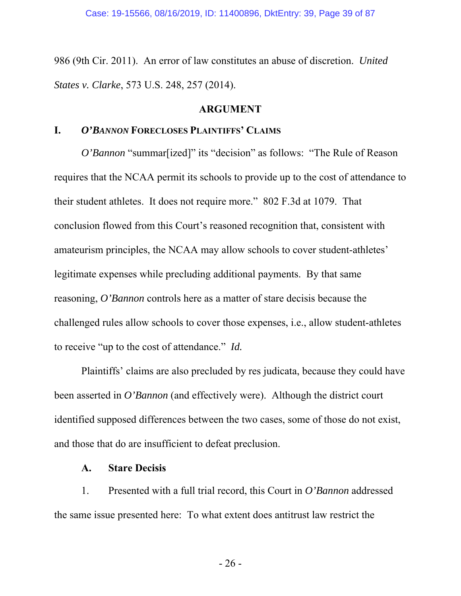986 (9th Cir. 2011). An error of law constitutes an abuse of discretion. *United States v. Clarke*, 573 U.S. 248, 257 (2014).

### **ARGUMENT**

# **I.** *O'BANNON* **FORECLOSES PLAINTIFFS' CLAIMS**

*O'Bannon* "summar[ized]" its "decision" as follows: "The Rule of Reason requires that the NCAA permit its schools to provide up to the cost of attendance to their student athletes. It does not require more." 802 F.3d at 1079. That conclusion flowed from this Court's reasoned recognition that, consistent with amateurism principles, the NCAA may allow schools to cover student-athletes' legitimate expenses while precluding additional payments. By that same reasoning, *O'Bannon* controls here as a matter of stare decisis because the challenged rules allow schools to cover those expenses, i.e., allow student-athletes to receive "up to the cost of attendance." *Id.*

Plaintiffs' claims are also precluded by res judicata, because they could have been asserted in *O'Bannon* (and effectively were). Although the district court identified supposed differences between the two cases, some of those do not exist, and those that do are insufficient to defeat preclusion.

### **A. Stare Decisis**

1. Presented with a full trial record, this Court in *O'Bannon* addressed the same issue presented here: To what extent does antitrust law restrict the

- 26 -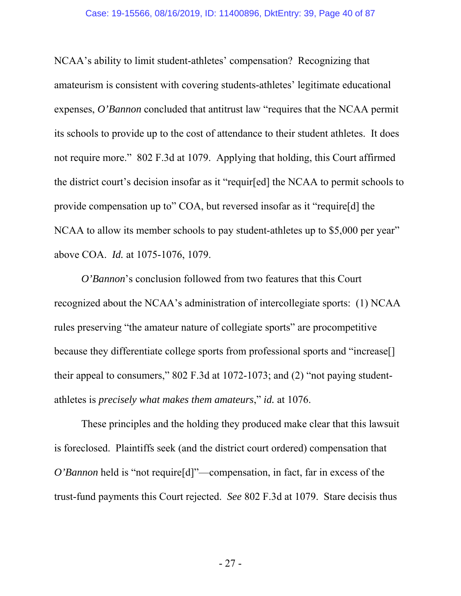NCAA's ability to limit student-athletes' compensation? Recognizing that amateurism is consistent with covering students-athletes' legitimate educational expenses, *O'Bannon* concluded that antitrust law "requires that the NCAA permit its schools to provide up to the cost of attendance to their student athletes. It does not require more." 802 F.3d at 1079. Applying that holding, this Court affirmed the district court's decision insofar as it "requir[ed] the NCAA to permit schools to provide compensation up to" COA, but reversed insofar as it "require[d] the NCAA to allow its member schools to pay student-athletes up to \$5,000 per year" above COA. *Id.* at 1075-1076, 1079.

*O'Bannon*'s conclusion followed from two features that this Court recognized about the NCAA's administration of intercollegiate sports: (1) NCAA rules preserving "the amateur nature of collegiate sports" are procompetitive because they differentiate college sports from professional sports and "increase[] their appeal to consumers," 802 F.3d at 1072-1073; and (2) "not paying studentathletes is *precisely what makes them amateurs*," *id.* at 1076.

These principles and the holding they produced make clear that this lawsuit is foreclosed. Plaintiffs seek (and the district court ordered) compensation that *O'Bannon* held is "not require<sup>[d]</sup>"—compensation, in fact, far in excess of the trust-fund payments this Court rejected. *See* 802 F.3d at 1079. Stare decisis thus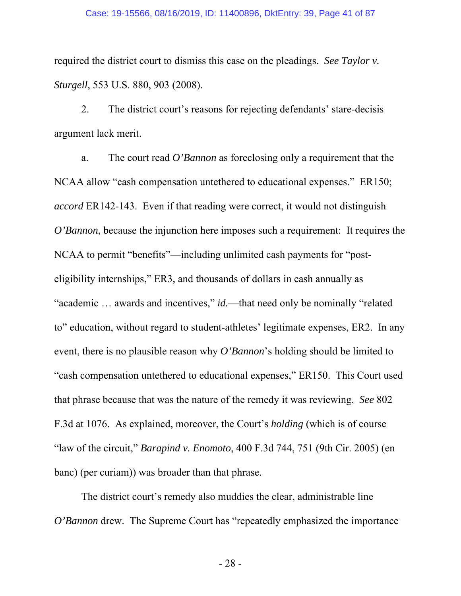#### Case: 19-15566, 08/16/2019, ID: 11400896, DktEntry: 39, Page 41 of 87

required the district court to dismiss this case on the pleadings. *See Taylor v. Sturgell*, 553 U.S. 880, 903 (2008).

2. The district court's reasons for rejecting defendants' stare-decisis argument lack merit.

a. The court read *O'Bannon* as foreclosing only a requirement that the NCAA allow "cash compensation untethered to educational expenses." ER150; *accord* ER142-143. Even if that reading were correct, it would not distinguish *O'Bannon*, because the injunction here imposes such a requirement: It requires the NCAA to permit "benefits"—including unlimited cash payments for "posteligibility internships," ER3, and thousands of dollars in cash annually as "academic … awards and incentives," *id.*—that need only be nominally "related to" education, without regard to student-athletes' legitimate expenses, ER2. In any event, there is no plausible reason why *O'Bannon*'s holding should be limited to "cash compensation untethered to educational expenses," ER150. This Court used that phrase because that was the nature of the remedy it was reviewing. *See* 802 F.3d at 1076. As explained, moreover, the Court's *holding* (which is of course "law of the circuit," *Barapind v. Enomoto*, 400 F.3d 744, 751 (9th Cir. 2005) (en banc) (per curiam)) was broader than that phrase.

The district court's remedy also muddies the clear, administrable line *O'Bannon* drew. The Supreme Court has "repeatedly emphasized the importance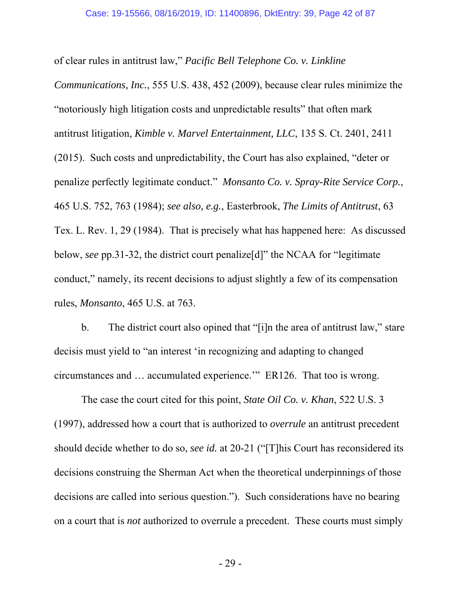of clear rules in antitrust law," *Pacific Bell Telephone Co. v. Linkline Communications, Inc.*, 555 U.S. 438, 452 (2009), because clear rules minimize the "notoriously high litigation costs and unpredictable results" that often mark antitrust litigation, *Kimble v. Marvel Entertainment, LLC*, 135 S. Ct. 2401, 2411 (2015). Such costs and unpredictability, the Court has also explained, "deter or penalize perfectly legitimate conduct." *Monsanto Co. v. Spray-Rite Service Corp.*, 465 U.S. 752, 763 (1984); *see also, e.g.*, Easterbrook, *The Limits of Antitrust*, 63 Tex. L. Rev. 1, 29 (1984). That is precisely what has happened here: As discussed below, *see* pp.31-32, the district court penalize[d]" the NCAA for "legitimate conduct," namely, its recent decisions to adjust slightly a few of its compensation rules, *Monsanto*, 465 U.S. at 763.

b. The district court also opined that "[i]n the area of antitrust law," stare decisis must yield to "an interest 'in recognizing and adapting to changed circumstances and … accumulated experience.'" ER126. That too is wrong.

The case the court cited for this point, *State Oil Co. v. Khan*, 522 U.S. 3 (1997), addressed how a court that is authorized to *overrule* an antitrust precedent should decide whether to do so, *see id.* at 20-21 ("[T]his Court has reconsidered its decisions construing the Sherman Act when the theoretical underpinnings of those decisions are called into serious question."). Such considerations have no bearing on a court that is *not* authorized to overrule a precedent. These courts must simply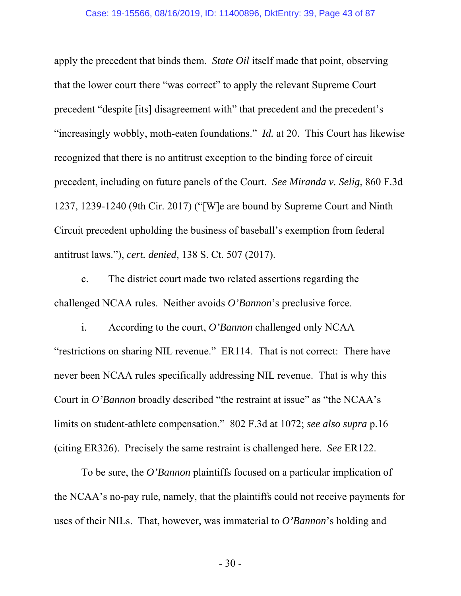apply the precedent that binds them. *State Oil* itself made that point, observing that the lower court there "was correct" to apply the relevant Supreme Court precedent "despite [its] disagreement with" that precedent and the precedent's "increasingly wobbly, moth-eaten foundations." *Id.* at 20. This Court has likewise recognized that there is no antitrust exception to the binding force of circuit precedent, including on future panels of the Court. *See Miranda v. Selig*, 860 F.3d 1237, 1239-1240 (9th Cir. 2017) ("[W]e are bound by Supreme Court and Ninth Circuit precedent upholding the business of baseball's exemption from federal antitrust laws."), *cert. denied*, 138 S. Ct. 507 (2017).

c. The district court made two related assertions regarding the challenged NCAA rules. Neither avoids *O'Bannon*'s preclusive force.

i. According to the court, *O'Bannon* challenged only NCAA "restrictions on sharing NIL revenue." ER114. That is not correct: There have never been NCAA rules specifically addressing NIL revenue. That is why this Court in *O'Bannon* broadly described "the restraint at issue" as "the NCAA's limits on student-athlete compensation." 802 F.3d at 1072; *see also supra* p.16 (citing ER326). Precisely the same restraint is challenged here. *See* ER122.

To be sure, the *O'Bannon* plaintiffs focused on a particular implication of the NCAA's no-pay rule, namely, that the plaintiffs could not receive payments for uses of their NILs. That, however, was immaterial to *O'Bannon*'s holding and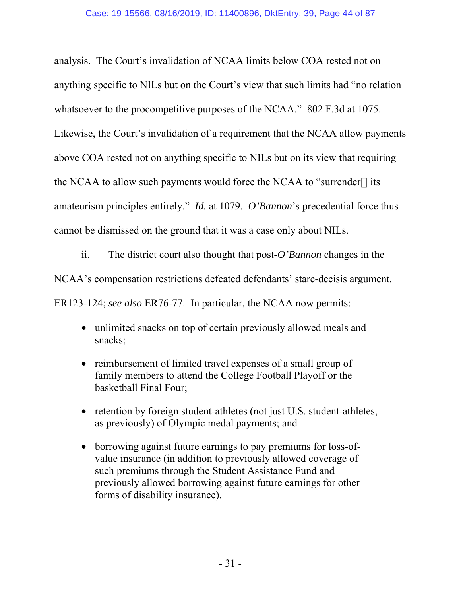analysis. The Court's invalidation of NCAA limits below COA rested not on anything specific to NILs but on the Court's view that such limits had "no relation whatsoever to the procompetitive purposes of the NCAA." 802 F.3d at 1075. Likewise, the Court's invalidation of a requirement that the NCAA allow payments above COA rested not on anything specific to NILs but on its view that requiring the NCAA to allow such payments would force the NCAA to "surrender[] its amateurism principles entirely." *Id.* at 1079. *O'Bannon*'s precedential force thus cannot be dismissed on the ground that it was a case only about NILs.

ii. The district court also thought that post-*O'Bannon* changes in the NCAA's compensation restrictions defeated defendants' stare-decisis argument. ER123-124; *see also* ER76-77. In particular, the NCAA now permits:

- unlimited snacks on top of certain previously allowed meals and snacks;
- reimbursement of limited travel expenses of a small group of family members to attend the College Football Playoff or the basketball Final Four;
- retention by foreign student-athletes (not just U.S. student-athletes, as previously) of Olympic medal payments; and
- borrowing against future earnings to pay premiums for loss-ofvalue insurance (in addition to previously allowed coverage of such premiums through the Student Assistance Fund and previously allowed borrowing against future earnings for other forms of disability insurance).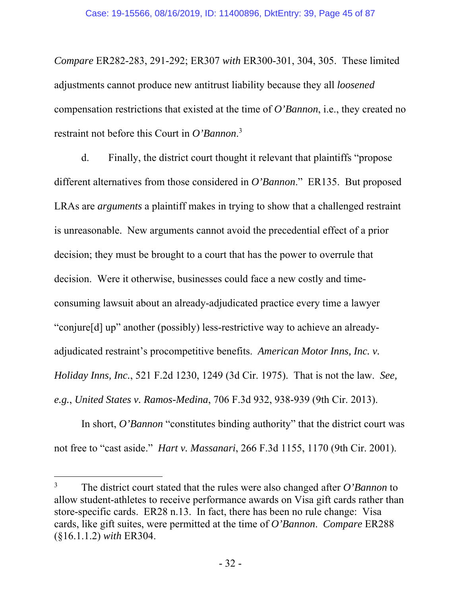*Compare* ER282-283, 291-292; ER307 *with* ER300-301, 304, 305. These limited adjustments cannot produce new antitrust liability because they all *loosened* compensation restrictions that existed at the time of *O'Bannon*, i.e., they created no restraint not before this Court in *O'Bannon*. 3

d. Finally, the district court thought it relevant that plaintiffs "propose different alternatives from those considered in *O'Bannon*." ER135. But proposed LRAs are *arguments* a plaintiff makes in trying to show that a challenged restraint is unreasonable. New arguments cannot avoid the precedential effect of a prior decision; they must be brought to a court that has the power to overrule that decision. Were it otherwise, businesses could face a new costly and timeconsuming lawsuit about an already-adjudicated practice every time a lawyer "conjure[d] up" another (possibly) less-restrictive way to achieve an alreadyadjudicated restraint's procompetitive benefits. *American Motor Inns, Inc. v. Holiday Inns, Inc.*, 521 F.2d 1230, 1249 (3d Cir. 1975). That is not the law. *See, e.g.*, *United States v. Ramos-Medina*, 706 F.3d 932, 938-939 (9th Cir. 2013).

In short, *O'Bannon* "constitutes binding authority" that the district court was not free to "cast aside." *Hart v. Massanari*, 266 F.3d 1155, 1170 (9th Cir. 2001).

 $\overline{a}$ 

<sup>3</sup> The district court stated that the rules were also changed after *O'Bannon* to allow student-athletes to receive performance awards on Visa gift cards rather than store-specific cards. ER28 n.13. In fact, there has been no rule change: Visa cards, like gift suites, were permitted at the time of *O'Bannon*. *Compare* ER288 (§16.1.1.2) *with* ER304.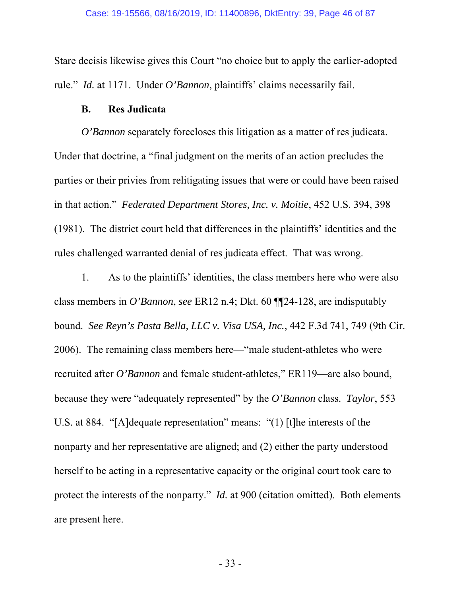Stare decisis likewise gives this Court "no choice but to apply the earlier-adopted rule." *Id.* at 1171. Under *O'Bannon*, plaintiffs' claims necessarily fail.

## **B. Res Judicata**

*O'Bannon* separately forecloses this litigation as a matter of res judicata. Under that doctrine, a "final judgment on the merits of an action precludes the parties or their privies from relitigating issues that were or could have been raised in that action." *Federated Department Stores, Inc. v. Moitie*, 452 U.S. 394, 398 (1981). The district court held that differences in the plaintiffs' identities and the rules challenged warranted denial of res judicata effect. That was wrong.

1. As to the plaintiffs' identities, the class members here who were also class members in *O'Bannon*, *see* ER12 n.4; Dkt. 60 ¶¶24-128, are indisputably bound. *See Reyn's Pasta Bella, LLC v. Visa USA, Inc.*, 442 F.3d 741, 749 (9th Cir. 2006). The remaining class members here—"male student-athletes who were recruited after *O'Bannon* and female student-athletes," ER119—are also bound, because they were "adequately represented" by the *O'Bannon* class. *Taylor*, 553 U.S. at 884. "[A]dequate representation" means: "(1) [t]he interests of the nonparty and her representative are aligned; and (2) either the party understood herself to be acting in a representative capacity or the original court took care to protect the interests of the nonparty." *Id.* at 900 (citation omitted). Both elements are present here.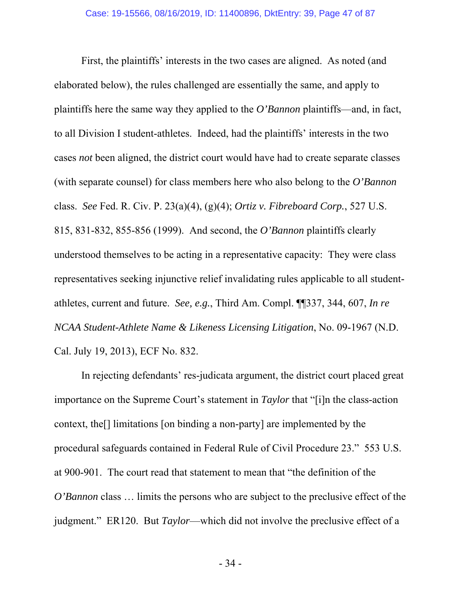First, the plaintiffs' interests in the two cases are aligned. As noted (and elaborated below), the rules challenged are essentially the same, and apply to plaintiffs here the same way they applied to the *O'Bannon* plaintiffs—and, in fact, to all Division I student-athletes. Indeed, had the plaintiffs' interests in the two cases *not* been aligned, the district court would have had to create separate classes (with separate counsel) for class members here who also belong to the *O'Bannon* class. *See* Fed. R. Civ. P. 23(a)(4), (g)(4); *Ortiz v. Fibreboard Corp.*, 527 U.S. 815, 831-832, 855-856 (1999). And second, the *O'Bannon* plaintiffs clearly understood themselves to be acting in a representative capacity: They were class representatives seeking injunctive relief invalidating rules applicable to all studentathletes, current and future. *See, e.g.*, Third Am. Compl. ¶¶337, 344, 607, *In re NCAA Student-Athlete Name & Likeness Licensing Litigation*, No. 09-1967 (N.D. Cal. July 19, 2013), ECF No. 832.

In rejecting defendants' res-judicata argument, the district court placed great importance on the Supreme Court's statement in *Taylor* that "[i]n the class-action context, the[] limitations [on binding a non-party] are implemented by the procedural safeguards contained in Federal Rule of Civil Procedure 23." 553 U.S. at 900-901. The court read that statement to mean that "the definition of the *O'Bannon* class ... limits the persons who are subject to the preclusive effect of the judgment." ER120. But *Taylor*—which did not involve the preclusive effect of a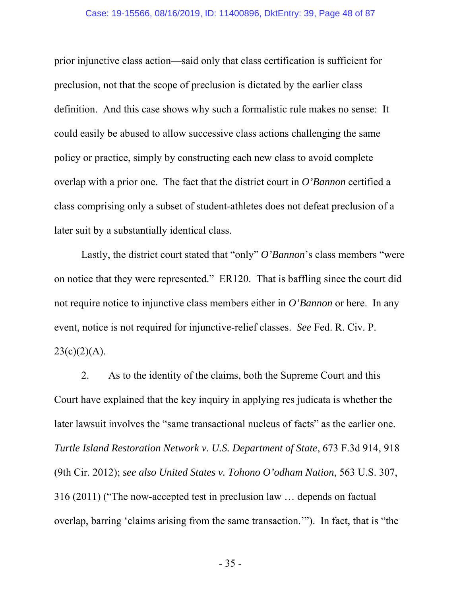prior injunctive class action—said only that class certification is sufficient for preclusion, not that the scope of preclusion is dictated by the earlier class definition. And this case shows why such a formalistic rule makes no sense: It could easily be abused to allow successive class actions challenging the same policy or practice, simply by constructing each new class to avoid complete overlap with a prior one. The fact that the district court in *O'Bannon* certified a class comprising only a subset of student-athletes does not defeat preclusion of a later suit by a substantially identical class.

Lastly, the district court stated that "only" *O'Bannon*'s class members "were on notice that they were represented." ER120. That is baffling since the court did not require notice to injunctive class members either in *O'Bannon* or here. In any event, notice is not required for injunctive-relief classes. *See* Fed. R. Civ. P.  $23(c)(2)(A)$ .

2. As to the identity of the claims, both the Supreme Court and this Court have explained that the key inquiry in applying res judicata is whether the later lawsuit involves the "same transactional nucleus of facts" as the earlier one. *Turtle Island Restoration Network v. U.S. Department of State*, 673 F.3d 914, 918 (9th Cir. 2012); *see also United States v. Tohono O'odham Nation*, 563 U.S. 307, 316 (2011) ("The now-accepted test in preclusion law … depends on factual overlap, barring 'claims arising from the same transaction.'"). In fact, that is "the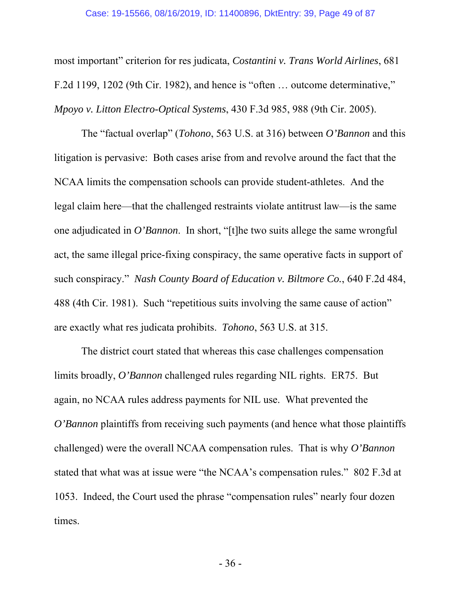most important" criterion for res judicata, *Costantini v. Trans World Airlines*, 681 F.2d 1199, 1202 (9th Cir. 1982), and hence is "often … outcome determinative," *Mpoyo v. Litton Electro-Optical Systems*, 430 F.3d 985, 988 (9th Cir. 2005).

The "factual overlap" (*Tohono*, 563 U.S. at 316) between *O'Bannon* and this litigation is pervasive: Both cases arise from and revolve around the fact that the NCAA limits the compensation schools can provide student-athletes. And the legal claim here—that the challenged restraints violate antitrust law—is the same one adjudicated in *O'Bannon*. In short, "[t]he two suits allege the same wrongful act, the same illegal price-fixing conspiracy, the same operative facts in support of such conspiracy." *Nash County Board of Education v. Biltmore Co.*, 640 F.2d 484, 488 (4th Cir. 1981). Such "repetitious suits involving the same cause of action" are exactly what res judicata prohibits. *Tohono*, 563 U.S. at 315.

The district court stated that whereas this case challenges compensation limits broadly, *O'Bannon* challenged rules regarding NIL rights. ER75. But again, no NCAA rules address payments for NIL use. What prevented the *O'Bannon* plaintiffs from receiving such payments (and hence what those plaintiffs challenged) were the overall NCAA compensation rules. That is why *O'Bannon* stated that what was at issue were "the NCAA's compensation rules." 802 F.3d at 1053. Indeed, the Court used the phrase "compensation rules" nearly four dozen times.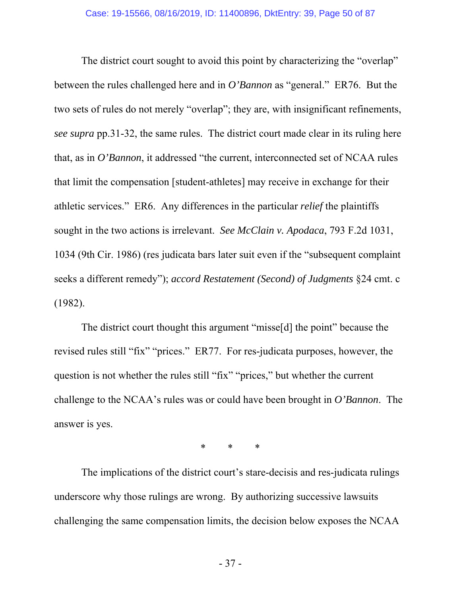The district court sought to avoid this point by characterizing the "overlap" between the rules challenged here and in *O'Bannon* as "general." ER76. But the two sets of rules do not merely "overlap"; they are, with insignificant refinements, *see supra* pp.31-32, the same rules. The district court made clear in its ruling here that, as in *O'Bannon*, it addressed "the current, interconnected set of NCAA rules that limit the compensation [student-athletes] may receive in exchange for their athletic services." ER6. Any differences in the particular *relief* the plaintiffs sought in the two actions is irrelevant. *See McClain v. Apodaca*, 793 F.2d 1031, 1034 (9th Cir. 1986) (res judicata bars later suit even if the "subsequent complaint seeks a different remedy"); *accord Restatement (Second) of Judgments* §24 cmt. c (1982).

The district court thought this argument "misse[d] the point" because the revised rules still "fix" "prices." ER77. For res-judicata purposes, however, the question is not whether the rules still "fix" "prices," but whether the current challenge to the NCAA's rules was or could have been brought in *O'Bannon*. The answer is yes.

\* \* \*

The implications of the district court's stare-decisis and res-judicata rulings underscore why those rulings are wrong. By authorizing successive lawsuits challenging the same compensation limits, the decision below exposes the NCAA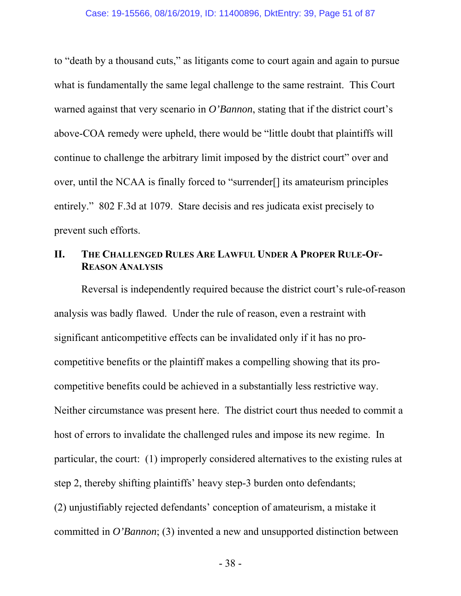to "death by a thousand cuts," as litigants come to court again and again to pursue what is fundamentally the same legal challenge to the same restraint. This Court warned against that very scenario in *O'Bannon*, stating that if the district court's above-COA remedy were upheld, there would be "little doubt that plaintiffs will continue to challenge the arbitrary limit imposed by the district court" over and over, until the NCAA is finally forced to "surrender[] its amateurism principles entirely." 802 F.3d at 1079. Stare decisis and res judicata exist precisely to prevent such efforts.

# **II. THE CHALLENGED RULES ARE LAWFUL UNDER A PROPER RULE-OF-REASON ANALYSIS**

Reversal is independently required because the district court's rule-of-reason analysis was badly flawed. Under the rule of reason, even a restraint with significant anticompetitive effects can be invalidated only if it has no procompetitive benefits or the plaintiff makes a compelling showing that its procompetitive benefits could be achieved in a substantially less restrictive way. Neither circumstance was present here. The district court thus needed to commit a host of errors to invalidate the challenged rules and impose its new regime. In particular, the court: (1) improperly considered alternatives to the existing rules at step 2, thereby shifting plaintiffs' heavy step-3 burden onto defendants; (2) unjustifiably rejected defendants' conception of amateurism, a mistake it committed in *O'Bannon*; (3) invented a new and unsupported distinction between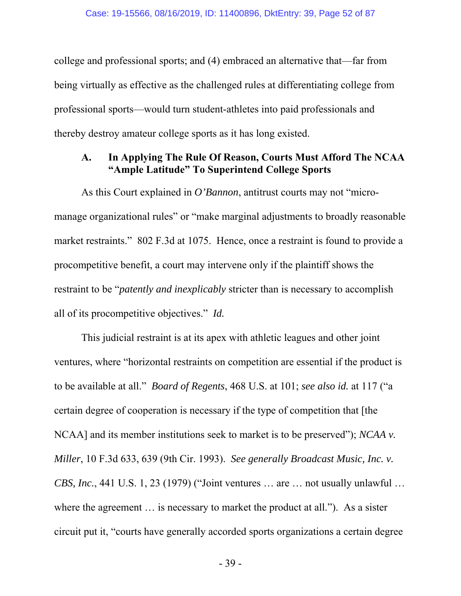college and professional sports; and (4) embraced an alternative that—far from being virtually as effective as the challenged rules at differentiating college from professional sports—would turn student-athletes into paid professionals and thereby destroy amateur college sports as it has long existed.

## **A. In Applying The Rule Of Reason, Courts Must Afford The NCAA "Ample Latitude" To Superintend College Sports**

As this Court explained in *O'Bannon*, antitrust courts may not "micromanage organizational rules" or "make marginal adjustments to broadly reasonable market restraints." 802 F.3d at 1075. Hence, once a restraint is found to provide a procompetitive benefit, a court may intervene only if the plaintiff shows the restraint to be "*patently and inexplicably* stricter than is necessary to accomplish all of its procompetitive objectives." *Id.*

This judicial restraint is at its apex with athletic leagues and other joint ventures, where "horizontal restraints on competition are essential if the product is to be available at all." *Board of Regents*, 468 U.S. at 101; *see also id.* at 117 ("a certain degree of cooperation is necessary if the type of competition that [the NCAA] and its member institutions seek to market is to be preserved"); *NCAA v. Miller*, 10 F.3d 633, 639 (9th Cir. 1993). *See generally Broadcast Music, Inc. v. CBS, Inc.*, 441 U.S. 1, 23 (1979) ("Joint ventures … are … not usually unlawful … where the agreement ... is necessary to market the product at all."). As a sister circuit put it, "courts have generally accorded sports organizations a certain degree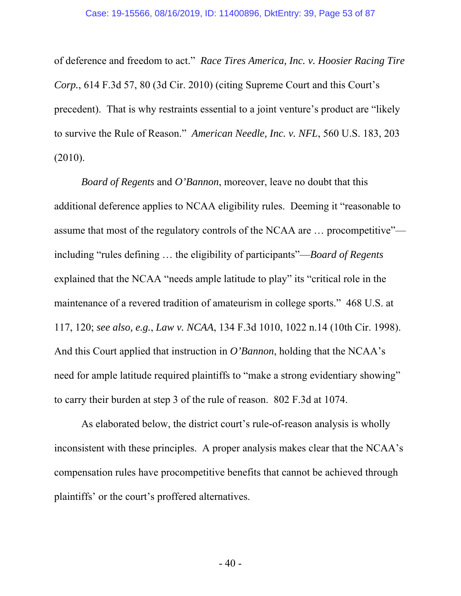of deference and freedom to act." *Race Tires America, Inc. v. Hoosier Racing Tire Corp.*, 614 F.3d 57, 80 (3d Cir. 2010) (citing Supreme Court and this Court's precedent). That is why restraints essential to a joint venture's product are "likely to survive the Rule of Reason." *American Needle, Inc. v. NFL*, 560 U.S. 183, 203 (2010).

*Board of Regents* and *O'Bannon*, moreover, leave no doubt that this additional deference applies to NCAA eligibility rules. Deeming it "reasonable to assume that most of the regulatory controls of the NCAA are … procompetitive" including "rules defining … the eligibility of participants"—*Board of Regents* explained that the NCAA "needs ample latitude to play" its "critical role in the maintenance of a revered tradition of amateurism in college sports." 468 U.S. at 117, 120; *see also, e.g.*, *Law v. NCAA*, 134 F.3d 1010, 1022 n.14 (10th Cir. 1998). And this Court applied that instruction in *O'Bannon*, holding that the NCAA's need for ample latitude required plaintiffs to "make a strong evidentiary showing" to carry their burden at step 3 of the rule of reason. 802 F.3d at 1074.

As elaborated below, the district court's rule-of-reason analysis is wholly inconsistent with these principles. A proper analysis makes clear that the NCAA's compensation rules have procompetitive benefits that cannot be achieved through plaintiffs' or the court's proffered alternatives.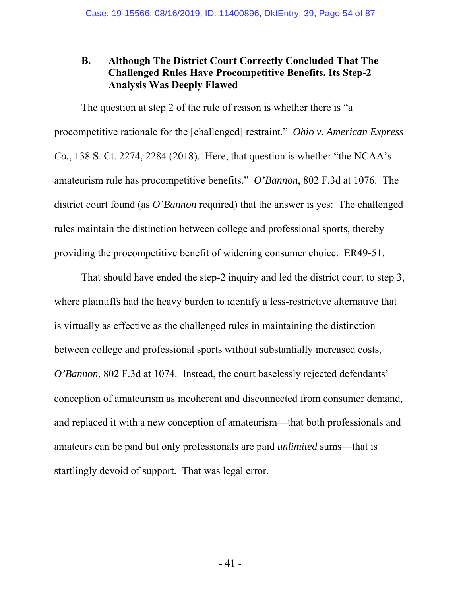# **B. Although The District Court Correctly Concluded That The Challenged Rules Have Procompetitive Benefits, Its Step-2 Analysis Was Deeply Flawed**

The question at step 2 of the rule of reason is whether there is "a procompetitive rationale for the [challenged] restraint." *Ohio v. American Express Co.*, 138 S. Ct. 2274, 2284 (2018). Here, that question is whether "the NCAA's amateurism rule has procompetitive benefits." *O'Bannon*, 802 F.3d at 1076. The district court found (as *O'Bannon* required) that the answer is yes: The challenged rules maintain the distinction between college and professional sports, thereby providing the procompetitive benefit of widening consumer choice. ER49-51.

That should have ended the step-2 inquiry and led the district court to step 3, where plaintiffs had the heavy burden to identify a less-restrictive alternative that is virtually as effective as the challenged rules in maintaining the distinction between college and professional sports without substantially increased costs, *O'Bannon*, 802 F.3d at 1074. Instead, the court baselessly rejected defendants' conception of amateurism as incoherent and disconnected from consumer demand, and replaced it with a new conception of amateurism—that both professionals and amateurs can be paid but only professionals are paid *unlimited* sums—that is startlingly devoid of support. That was legal error.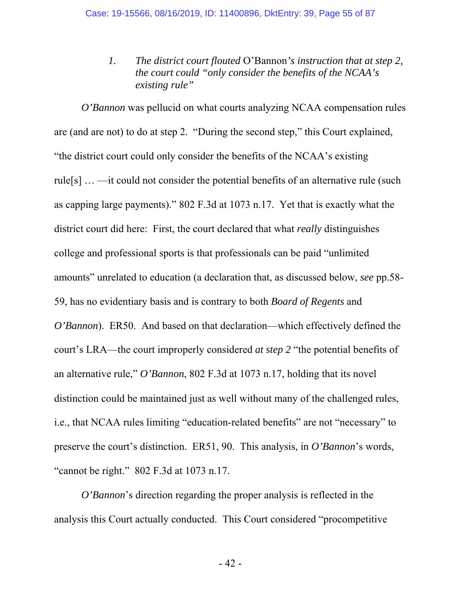*1. The district court flouted* O'Bannon*'s instruction that at step 2, the court could "only consider the benefits of the NCAA's existing rule"*

*O'Bannon* was pellucid on what courts analyzing NCAA compensation rules are (and are not) to do at step 2. "During the second step," this Court explained, "the district court could only consider the benefits of the NCAA's existing rule[s] … —it could not consider the potential benefits of an alternative rule (such as capping large payments)." 802 F.3d at 1073 n.17. Yet that is exactly what the district court did here: First, the court declared that what *really* distinguishes college and professional sports is that professionals can be paid "unlimited amounts" unrelated to education (a declaration that, as discussed below, *see* pp.58- 59, has no evidentiary basis and is contrary to both *Board of Regents* and *O'Bannon*). ER50. And based on that declaration—which effectively defined the court's LRA—the court improperly considered *at step 2* "the potential benefits of an alternative rule," *O'Bannon*, 802 F.3d at 1073 n.17, holding that its novel distinction could be maintained just as well without many of the challenged rules, i.e., that NCAA rules limiting "education-related benefits" are not "necessary" to preserve the court's distinction. ER51, 90. This analysis, in *O'Bannon*'s words, "cannot be right." 802 F.3d at 1073 n.17.

*O'Bannon*'s direction regarding the proper analysis is reflected in the analysis this Court actually conducted. This Court considered "procompetitive

- 42 -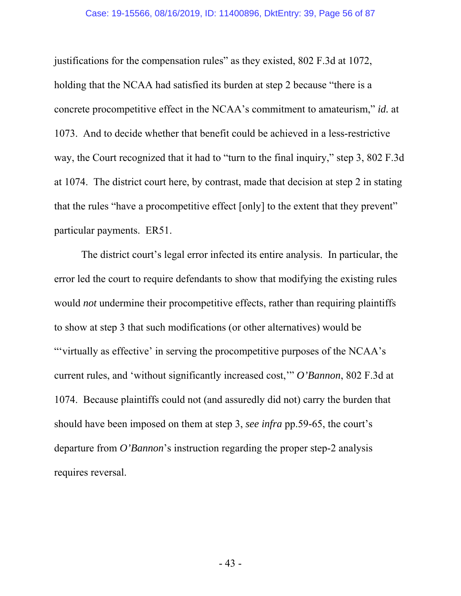justifications for the compensation rules" as they existed, 802 F.3d at 1072, holding that the NCAA had satisfied its burden at step 2 because "there is a concrete procompetitive effect in the NCAA's commitment to amateurism," *id.* at 1073. And to decide whether that benefit could be achieved in a less-restrictive way, the Court recognized that it had to "turn to the final inquiry," step 3, 802 F.3d at 1074. The district court here, by contrast, made that decision at step 2 in stating that the rules "have a procompetitive effect [only] to the extent that they prevent" particular payments. ER51.

The district court's legal error infected its entire analysis. In particular, the error led the court to require defendants to show that modifying the existing rules would *not* undermine their procompetitive effects, rather than requiring plaintiffs to show at step 3 that such modifications (or other alternatives) would be "'virtually as effective' in serving the procompetitive purposes of the NCAA's current rules, and 'without significantly increased cost,'" *O'Bannon*, 802 F.3d at 1074. Because plaintiffs could not (and assuredly did not) carry the burden that should have been imposed on them at step 3, *see infra* pp.59-65, the court's departure from *O'Bannon*'s instruction regarding the proper step-2 analysis requires reversal.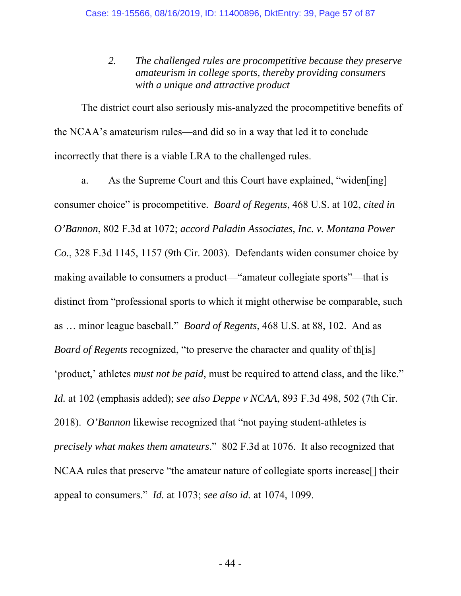*2. The challenged rules are procompetitive because they preserve amateurism in college sports, thereby providing consumers with a unique and attractive product*

The district court also seriously mis-analyzed the procompetitive benefits of the NCAA's amateurism rules—and did so in a way that led it to conclude incorrectly that there is a viable LRA to the challenged rules.

a. As the Supreme Court and this Court have explained, "widen[ing] consumer choice" is procompetitive. *Board of Regents*, 468 U.S. at 102, *cited in O'Bannon*, 802 F.3d at 1072; *accord Paladin Associates, Inc. v. Montana Power Co.*, 328 F.3d 1145, 1157 (9th Cir. 2003). Defendants widen consumer choice by making available to consumers a product—"amateur collegiate sports"—that is distinct from "professional sports to which it might otherwise be comparable, such as … minor league baseball." *Board of Regents*, 468 U.S. at 88, 102. And as *Board of Regents* recognized, "to preserve the character and quality of th[is] 'product,' athletes *must not be paid*, must be required to attend class, and the like." *Id.* at 102 (emphasis added); *see also Deppe v NCAA*, 893 F.3d 498, 502 (7th Cir. 2018). *O'Bannon* likewise recognized that "not paying student-athletes is *precisely what makes them amateurs*." 802 F.3d at 1076. It also recognized that NCAA rules that preserve "the amateur nature of collegiate sports increase[] their appeal to consumers." *Id.* at 1073; *see also id.* at 1074, 1099.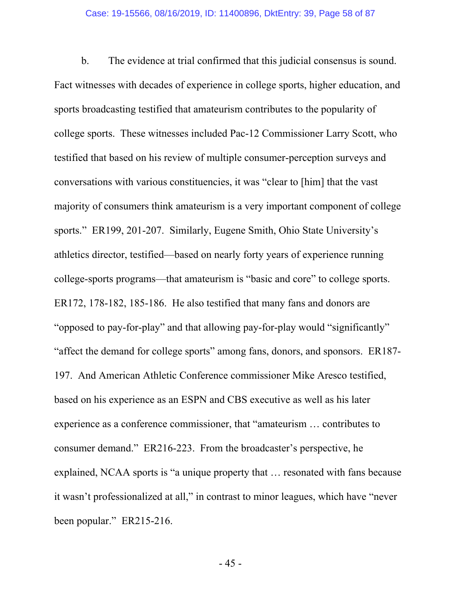#### Case: 19-15566, 08/16/2019, ID: 11400896, DktEntry: 39, Page 58 of 87

b. The evidence at trial confirmed that this judicial consensus is sound. Fact witnesses with decades of experience in college sports, higher education, and sports broadcasting testified that amateurism contributes to the popularity of college sports. These witnesses included Pac-12 Commissioner Larry Scott, who testified that based on his review of multiple consumer-perception surveys and conversations with various constituencies, it was "clear to [him] that the vast majority of consumers think amateurism is a very important component of college sports." ER199, 201-207. Similarly, Eugene Smith, Ohio State University's athletics director, testified—based on nearly forty years of experience running college-sports programs—that amateurism is "basic and core" to college sports. ER172, 178-182, 185-186. He also testified that many fans and donors are "opposed to pay-for-play" and that allowing pay-for-play would "significantly" "affect the demand for college sports" among fans, donors, and sponsors. ER187- 197. And American Athletic Conference commissioner Mike Aresco testified, based on his experience as an ESPN and CBS executive as well as his later experience as a conference commissioner, that "amateurism … contributes to consumer demand." ER216-223. From the broadcaster's perspective, he explained, NCAA sports is "a unique property that … resonated with fans because it wasn't professionalized at all," in contrast to minor leagues, which have "never been popular." ER215-216.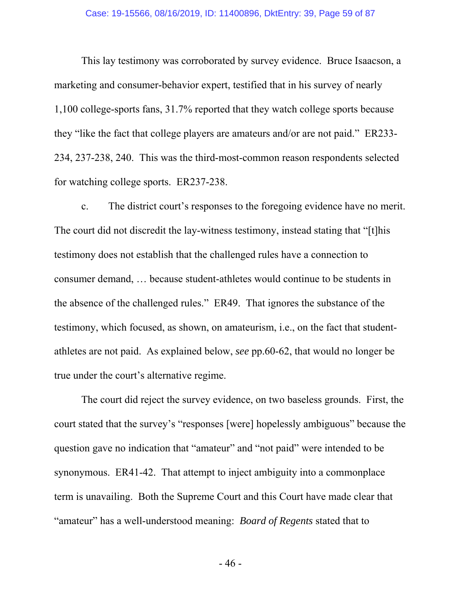This lay testimony was corroborated by survey evidence. Bruce Isaacson, a marketing and consumer-behavior expert, testified that in his survey of nearly 1,100 college-sports fans, 31.7% reported that they watch college sports because they "like the fact that college players are amateurs and/or are not paid." ER233- 234, 237-238, 240. This was the third-most-common reason respondents selected for watching college sports. ER237-238.

c. The district court's responses to the foregoing evidence have no merit. The court did not discredit the lay-witness testimony, instead stating that "[t]his testimony does not establish that the challenged rules have a connection to consumer demand, … because student-athletes would continue to be students in the absence of the challenged rules." ER49. That ignores the substance of the testimony, which focused, as shown, on amateurism, i.e., on the fact that studentathletes are not paid. As explained below, *see* pp.60-62, that would no longer be true under the court's alternative regime.

The court did reject the survey evidence, on two baseless grounds. First, the court stated that the survey's "responses [were] hopelessly ambiguous" because the question gave no indication that "amateur" and "not paid" were intended to be synonymous. ER41-42. That attempt to inject ambiguity into a commonplace term is unavailing. Both the Supreme Court and this Court have made clear that "amateur" has a well-understood meaning: *Board of Regents* stated that to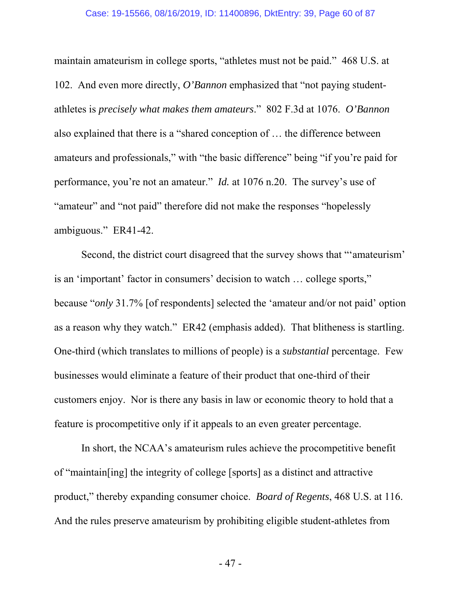maintain amateurism in college sports, "athletes must not be paid." 468 U.S. at 102. And even more directly, *O'Bannon* emphasized that "not paying studentathletes is *precisely what makes them amateurs*." 802 F.3d at 1076. *O'Bannon* also explained that there is a "shared conception of … the difference between amateurs and professionals," with "the basic difference" being "if you're paid for performance, you're not an amateur." *Id.* at 1076 n.20. The survey's use of "amateur" and "not paid" therefore did not make the responses "hopelessly ambiguous." ER41-42.

Second, the district court disagreed that the survey shows that "'amateurism' is an 'important' factor in consumers' decision to watch … college sports," because "*only* 31.7% [of respondents] selected the 'amateur and/or not paid' option as a reason why they watch." ER42 (emphasis added). That blitheness is startling. One-third (which translates to millions of people) is a *substantial* percentage. Few businesses would eliminate a feature of their product that one-third of their customers enjoy. Nor is there any basis in law or economic theory to hold that a feature is procompetitive only if it appeals to an even greater percentage.

In short, the NCAA's amateurism rules achieve the procompetitive benefit of "maintain[ing] the integrity of college [sports] as a distinct and attractive product," thereby expanding consumer choice. *Board of Regents*, 468 U.S. at 116. And the rules preserve amateurism by prohibiting eligible student-athletes from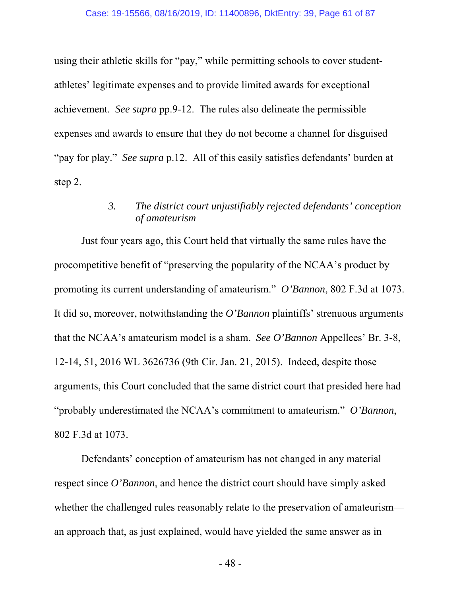using their athletic skills for "pay," while permitting schools to cover studentathletes' legitimate expenses and to provide limited awards for exceptional achievement. *See supra* pp.9-12. The rules also delineate the permissible expenses and awards to ensure that they do not become a channel for disguised "pay for play." *See supra* p.12. All of this easily satisfies defendants' burden at step 2.

# *3. The district court unjustifiably rejected defendants' conception of amateurism*

Just four years ago, this Court held that virtually the same rules have the procompetitive benefit of "preserving the popularity of the NCAA's product by promoting its current understanding of amateurism." *O'Bannon*, 802 F.3d at 1073. It did so, moreover, notwithstanding the *O'Bannon* plaintiffs' strenuous arguments that the NCAA's amateurism model is a sham. *See O'Bannon* Appellees' Br. 3-8, 12-14, 51, 2016 WL 3626736 (9th Cir. Jan. 21, 2015). Indeed, despite those arguments, this Court concluded that the same district court that presided here had "probably underestimated the NCAA's commitment to amateurism." *O'Bannon*, 802 F.3d at 1073.

Defendants' conception of amateurism has not changed in any material respect since *O'Bannon*, and hence the district court should have simply asked whether the challenged rules reasonably relate to the preservation of amateurism an approach that, as just explained, would have yielded the same answer as in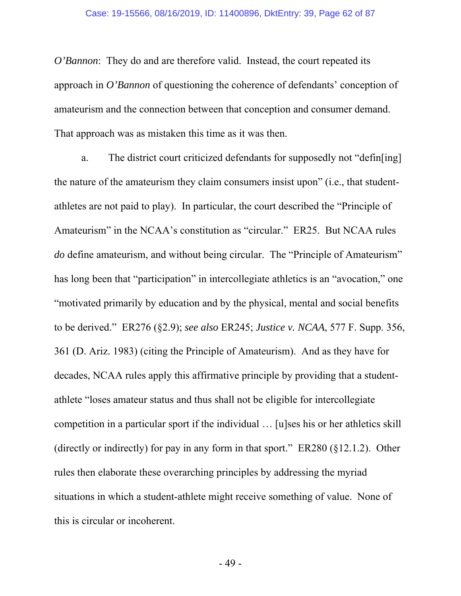*O'Bannon*: They do and are therefore valid. Instead, the court repeated its approach in *O'Bannon* of questioning the coherence of defendants' conception of amateurism and the connection between that conception and consumer demand. That approach was as mistaken this time as it was then.

a. The district court criticized defendants for supposedly not "defin[ing] the nature of the amateurism they claim consumers insist upon" (i.e., that studentathletes are not paid to play). In particular, the court described the "Principle of Amateurism" in the NCAA's constitution as "circular." ER25. But NCAA rules *do* define amateurism, and without being circular. The "Principle of Amateurism" has long been that "participation" in intercollegiate athletics is an "avocation," one "motivated primarily by education and by the physical, mental and social benefits to be derived." ER276 (§2.9); *see also* ER245; *Justice v. NCAA*, 577 F. Supp. 356, 361 (D. Ariz. 1983) (citing the Principle of Amateurism). And as they have for decades, NCAA rules apply this affirmative principle by providing that a studentathlete "loses amateur status and thus shall not be eligible for intercollegiate competition in a particular sport if the individual … [u]ses his or her athletics skill (directly or indirectly) for pay in any form in that sport." ER280 (§12.1.2). Other rules then elaborate these overarching principles by addressing the myriad situations in which a student-athlete might receive something of value. None of this is circular or incoherent.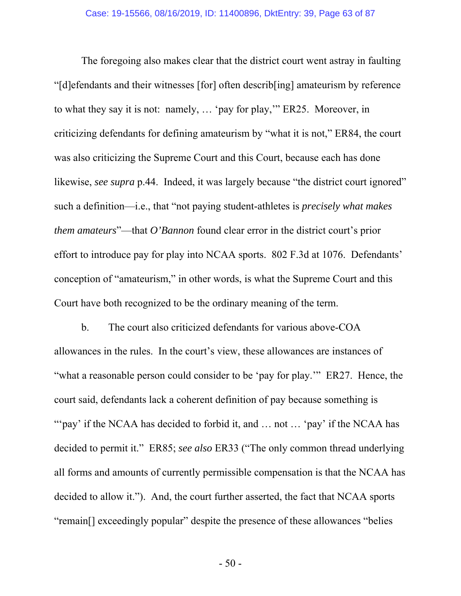The foregoing also makes clear that the district court went astray in faulting "[d]efendants and their witnesses [for] often describ[ing] amateurism by reference to what they say it is not: namely, … 'pay for play,'" ER25. Moreover, in criticizing defendants for defining amateurism by "what it is not," ER84, the court was also criticizing the Supreme Court and this Court, because each has done likewise, *see supra* p.44. Indeed, it was largely because "the district court ignored" such a definition—i.e., that "not paying student-athletes is *precisely what makes them amateurs*"—that *O'Bannon* found clear error in the district court's prior effort to introduce pay for play into NCAA sports. 802 F.3d at 1076. Defendants' conception of "amateurism," in other words, is what the Supreme Court and this Court have both recognized to be the ordinary meaning of the term.

b. The court also criticized defendants for various above-COA allowances in the rules. In the court's view, these allowances are instances of "what a reasonable person could consider to be 'pay for play."" ER27. Hence, the court said, defendants lack a coherent definition of pay because something is "'pay' if the NCAA has decided to forbid it, and ... not ... 'pay' if the NCAA has decided to permit it." ER85; *see also* ER33 ("The only common thread underlying all forms and amounts of currently permissible compensation is that the NCAA has decided to allow it."). And, the court further asserted, the fact that NCAA sports "remain[] exceedingly popular" despite the presence of these allowances "belies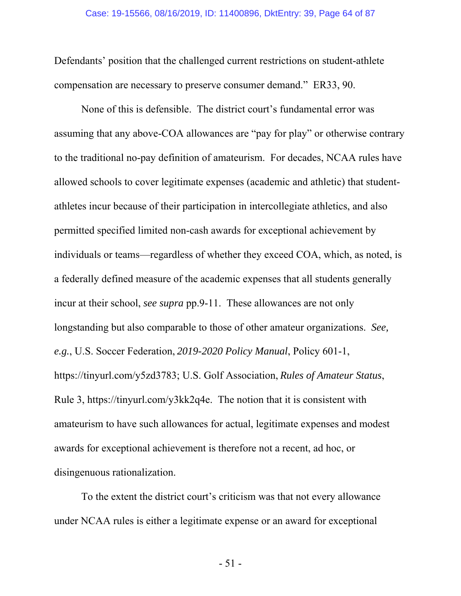Defendants' position that the challenged current restrictions on student-athlete compensation are necessary to preserve consumer demand." ER33, 90.

None of this is defensible. The district court's fundamental error was assuming that any above-COA allowances are "pay for play" or otherwise contrary to the traditional no-pay definition of amateurism. For decades, NCAA rules have allowed schools to cover legitimate expenses (academic and athletic) that studentathletes incur because of their participation in intercollegiate athletics, and also permitted specified limited non-cash awards for exceptional achievement by individuals or teams—regardless of whether they exceed COA, which, as noted, is a federally defined measure of the academic expenses that all students generally incur at their school, *see supra* pp.9-11. These allowances are not only longstanding but also comparable to those of other amateur organizations. *See, e.g.*, U.S. Soccer Federation, *2019-2020 Policy Manual*, Policy 601-1, https://tinyurl.com/y5zd3783; U.S. Golf Association, *Rules of Amateur Status*, Rule 3, https://tinyurl.com/y3kk2q4e. The notion that it is consistent with amateurism to have such allowances for actual, legitimate expenses and modest awards for exceptional achievement is therefore not a recent, ad hoc, or disingenuous rationalization.

To the extent the district court's criticism was that not every allowance under NCAA rules is either a legitimate expense or an award for exceptional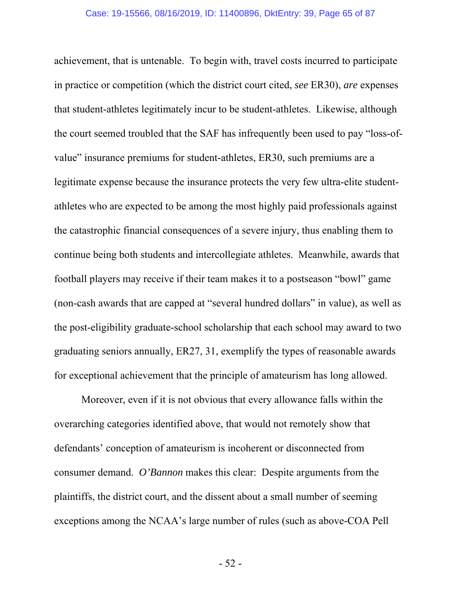achievement, that is untenable. To begin with, travel costs incurred to participate in practice or competition (which the district court cited, *see* ER30), *are* expenses that student-athletes legitimately incur to be student-athletes. Likewise, although the court seemed troubled that the SAF has infrequently been used to pay "loss-ofvalue" insurance premiums for student-athletes, ER30, such premiums are a legitimate expense because the insurance protects the very few ultra-elite studentathletes who are expected to be among the most highly paid professionals against the catastrophic financial consequences of a severe injury, thus enabling them to continue being both students and intercollegiate athletes. Meanwhile, awards that football players may receive if their team makes it to a postseason "bowl" game (non-cash awards that are capped at "several hundred dollars" in value), as well as the post-eligibility graduate-school scholarship that each school may award to two graduating seniors annually, ER27, 31, exemplify the types of reasonable awards for exceptional achievement that the principle of amateurism has long allowed.

Moreover, even if it is not obvious that every allowance falls within the overarching categories identified above, that would not remotely show that defendants' conception of amateurism is incoherent or disconnected from consumer demand. *O'Bannon* makes this clear: Despite arguments from the plaintiffs, the district court, and the dissent about a small number of seeming exceptions among the NCAA's large number of rules (such as above-COA Pell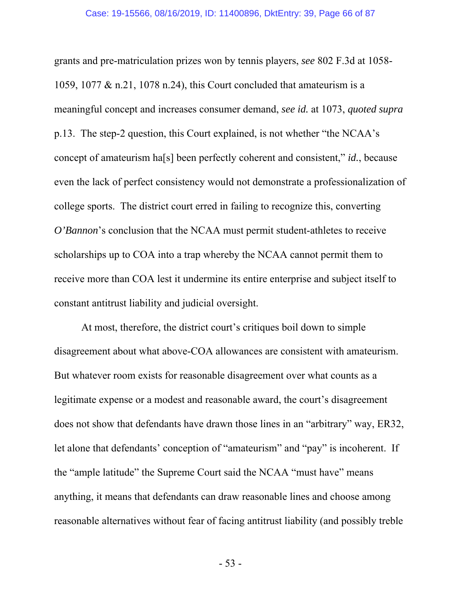grants and pre-matriculation prizes won by tennis players, *see* 802 F.3d at 1058- 1059, 1077 & n.21, 1078 n.24), this Court concluded that amateurism is a meaningful concept and increases consumer demand, *see id.* at 1073, *quoted supra* p.13. The step-2 question, this Court explained, is not whether "the NCAA's concept of amateurism ha[s] been perfectly coherent and consistent," *id.*, because even the lack of perfect consistency would not demonstrate a professionalization of college sports. The district court erred in failing to recognize this, converting *O'Bannon*'s conclusion that the NCAA must permit student-athletes to receive scholarships up to COA into a trap whereby the NCAA cannot permit them to receive more than COA lest it undermine its entire enterprise and subject itself to constant antitrust liability and judicial oversight.

At most, therefore, the district court's critiques boil down to simple disagreement about what above-COA allowances are consistent with amateurism. But whatever room exists for reasonable disagreement over what counts as a legitimate expense or a modest and reasonable award, the court's disagreement does not show that defendants have drawn those lines in an "arbitrary" way, ER32, let alone that defendants' conception of "amateurism" and "pay" is incoherent. If the "ample latitude" the Supreme Court said the NCAA "must have" means anything, it means that defendants can draw reasonable lines and choose among reasonable alternatives without fear of facing antitrust liability (and possibly treble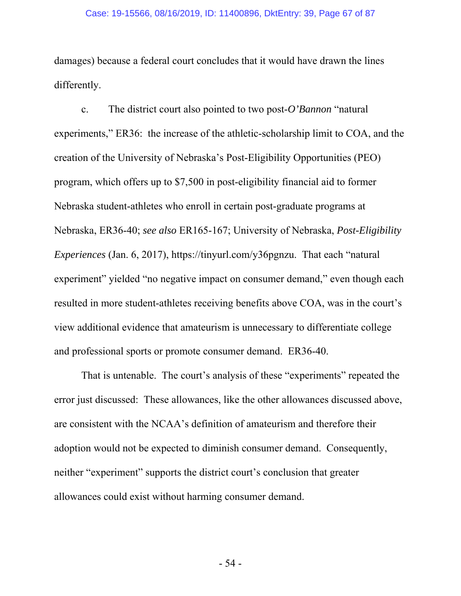damages) because a federal court concludes that it would have drawn the lines differently.

c. The district court also pointed to two post-*O'Bannon* "natural experiments," ER36: the increase of the athletic-scholarship limit to COA, and the creation of the University of Nebraska's Post-Eligibility Opportunities (PEO) program, which offers up to \$7,500 in post-eligibility financial aid to former Nebraska student-athletes who enroll in certain post-graduate programs at Nebraska, ER36-40; *see also* ER165-167; University of Nebraska, *Post-Eligibility Experiences* (Jan. 6, 2017), https://tinyurl.com/y36pgnzu. That each "natural experiment" yielded "no negative impact on consumer demand," even though each resulted in more student-athletes receiving benefits above COA, was in the court's view additional evidence that amateurism is unnecessary to differentiate college and professional sports or promote consumer demand. ER36-40.

That is untenable. The court's analysis of these "experiments" repeated the error just discussed: These allowances, like the other allowances discussed above, are consistent with the NCAA's definition of amateurism and therefore their adoption would not be expected to diminish consumer demand. Consequently, neither "experiment" supports the district court's conclusion that greater allowances could exist without harming consumer demand.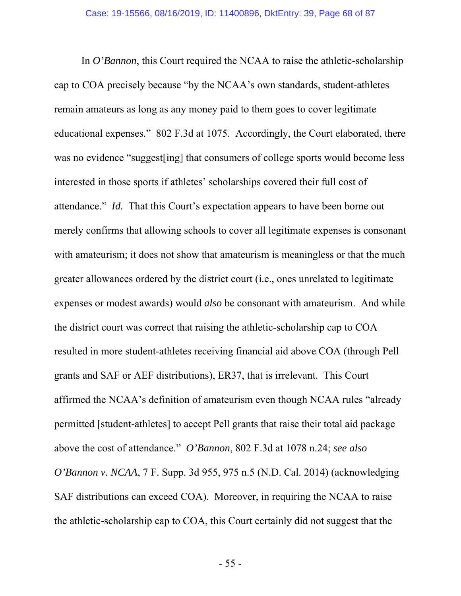In *O'Bannon*, this Court required the NCAA to raise the athletic-scholarship cap to COA precisely because "by the NCAA's own standards, student-athletes remain amateurs as long as any money paid to them goes to cover legitimate educational expenses." 802 F.3d at 1075. Accordingly, the Court elaborated, there was no evidence "suggest[ing] that consumers of college sports would become less interested in those sports if athletes' scholarships covered their full cost of attendance." *Id.* That this Court's expectation appears to have been borne out merely confirms that allowing schools to cover all legitimate expenses is consonant with amateurism; it does not show that amateurism is meaningless or that the much greater allowances ordered by the district court (i.e., ones unrelated to legitimate expenses or modest awards) would *also* be consonant with amateurism. And while the district court was correct that raising the athletic-scholarship cap to COA resulted in more student-athletes receiving financial aid above COA (through Pell grants and SAF or AEF distributions), ER37, that is irrelevant. This Court affirmed the NCAA's definition of amateurism even though NCAA rules "already permitted [student-athletes] to accept Pell grants that raise their total aid package above the cost of attendance." *O'Bannon*, 802 F.3d at 1078 n.24; *see also O'Bannon v. NCAA*, 7 F. Supp. 3d 955, 975 n.5 (N.D. Cal. 2014) (acknowledging SAF distributions can exceed COA). Moreover, in requiring the NCAA to raise the athletic-scholarship cap to COA, this Court certainly did not suggest that the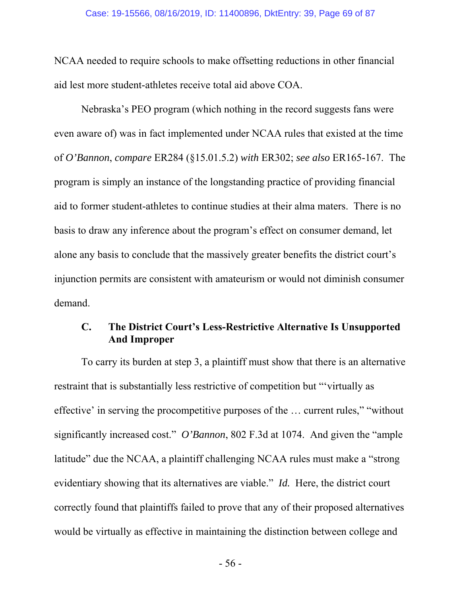NCAA needed to require schools to make offsetting reductions in other financial aid lest more student-athletes receive total aid above COA.

Nebraska's PEO program (which nothing in the record suggests fans were even aware of) was in fact implemented under NCAA rules that existed at the time of *O'Bannon*, *compare* ER284 (§15.01.5.2) *with* ER302; *see also* ER165-167. The program is simply an instance of the longstanding practice of providing financial aid to former student-athletes to continue studies at their alma maters. There is no basis to draw any inference about the program's effect on consumer demand, let alone any basis to conclude that the massively greater benefits the district court's injunction permits are consistent with amateurism or would not diminish consumer demand.

## **C. The District Court's Less-Restrictive Alternative Is Unsupported And Improper**

To carry its burden at step 3, a plaintiff must show that there is an alternative restraint that is substantially less restrictive of competition but "'virtually as effective' in serving the procompetitive purposes of the … current rules," "without significantly increased cost." *O'Bannon*, 802 F.3d at 1074. And given the "ample latitude" due the NCAA, a plaintiff challenging NCAA rules must make a "strong evidentiary showing that its alternatives are viable." *Id.* Here, the district court correctly found that plaintiffs failed to prove that any of their proposed alternatives would be virtually as effective in maintaining the distinction between college and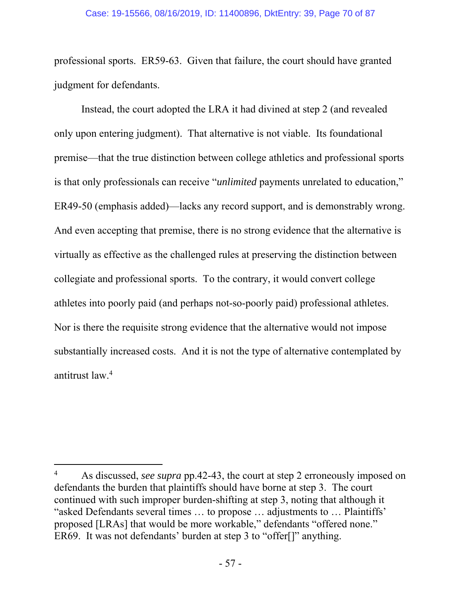professional sports. ER59-63. Given that failure, the court should have granted judgment for defendants.

Instead, the court adopted the LRA it had divined at step 2 (and revealed only upon entering judgment). That alternative is not viable. Its foundational premise—that the true distinction between college athletics and professional sports is that only professionals can receive "*unlimited* payments unrelated to education," ER49-50 (emphasis added)—lacks any record support, and is demonstrably wrong. And even accepting that premise, there is no strong evidence that the alternative is virtually as effective as the challenged rules at preserving the distinction between collegiate and professional sports. To the contrary, it would convert college athletes into poorly paid (and perhaps not-so-poorly paid) professional athletes. Nor is there the requisite strong evidence that the alternative would not impose substantially increased costs. And it is not the type of alternative contemplated by antitrust law.4

-

<sup>4</sup> As discussed, *see supra* pp.42-43, the court at step 2 erroneously imposed on defendants the burden that plaintiffs should have borne at step 3. The court continued with such improper burden-shifting at step 3, noting that although it "asked Defendants several times … to propose … adjustments to … Plaintiffs' proposed [LRAs] that would be more workable," defendants "offered none." ER69. It was not defendants' burden at step 3 to "offer[]" anything.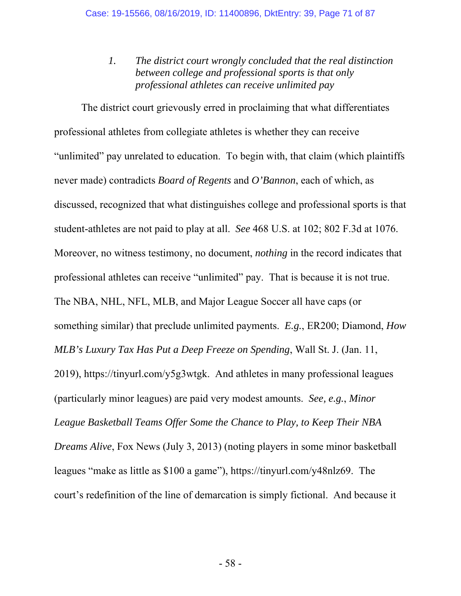*1. The district court wrongly concluded that the real distinction between college and professional sports is that only professional athletes can receive unlimited pay*

The district court grievously erred in proclaiming that what differentiates professional athletes from collegiate athletes is whether they can receive "unlimited" pay unrelated to education. To begin with, that claim (which plaintiffs never made) contradicts *Board of Regents* and *O'Bannon*, each of which, as discussed, recognized that what distinguishes college and professional sports is that student-athletes are not paid to play at all. *See* 468 U.S. at 102; 802 F.3d at 1076. Moreover, no witness testimony, no document, *nothing* in the record indicates that professional athletes can receive "unlimited" pay. That is because it is not true. The NBA, NHL, NFL, MLB, and Major League Soccer all have caps (or something similar) that preclude unlimited payments. *E.g.*, ER200; Diamond, *How MLB's Luxury Tax Has Put a Deep Freeze on Spending*, Wall St. J. (Jan. 11, 2019), https://tinyurl.com/y5g3wtgk. And athletes in many professional leagues (particularly minor leagues) are paid very modest amounts. *See, e.g.*, *Minor League Basketball Teams Offer Some the Chance to Play, to Keep Their NBA Dreams Alive*, Fox News (July 3, 2013) (noting players in some minor basketball leagues "make as little as \$100 a game"), https://tinyurl.com/y48nlz69. The court's redefinition of the line of demarcation is simply fictional. And because it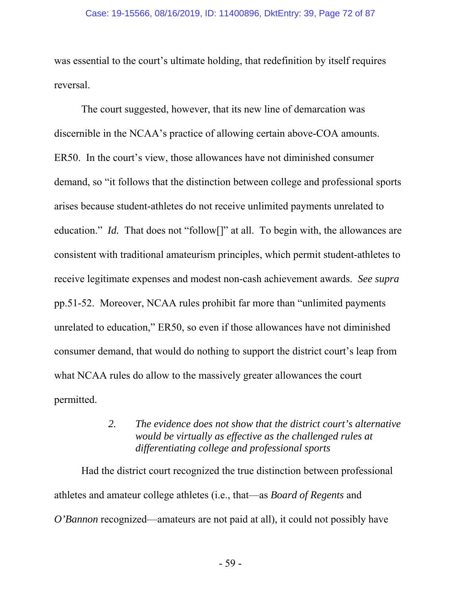was essential to the court's ultimate holding, that redefinition by itself requires reversal.

The court suggested, however, that its new line of demarcation was discernible in the NCAA's practice of allowing certain above-COA amounts. ER50. In the court's view, those allowances have not diminished consumer demand, so "it follows that the distinction between college and professional sports arises because student-athletes do not receive unlimited payments unrelated to education." *Id.* That does not "follow<sup>[]"</sup> at all. To begin with, the allowances are consistent with traditional amateurism principles, which permit student-athletes to receive legitimate expenses and modest non-cash achievement awards. *See supra* pp.51-52. Moreover, NCAA rules prohibit far more than "unlimited payments unrelated to education," ER50, so even if those allowances have not diminished consumer demand, that would do nothing to support the district court's leap from what NCAA rules do allow to the massively greater allowances the court permitted.

# *2. The evidence does not show that the district court's alternative would be virtually as effective as the challenged rules at differentiating college and professional sports*

Had the district court recognized the true distinction between professional athletes and amateur college athletes (i.e., that—as *Board of Regents* and *O'Bannon* recognized—amateurs are not paid at all), it could not possibly have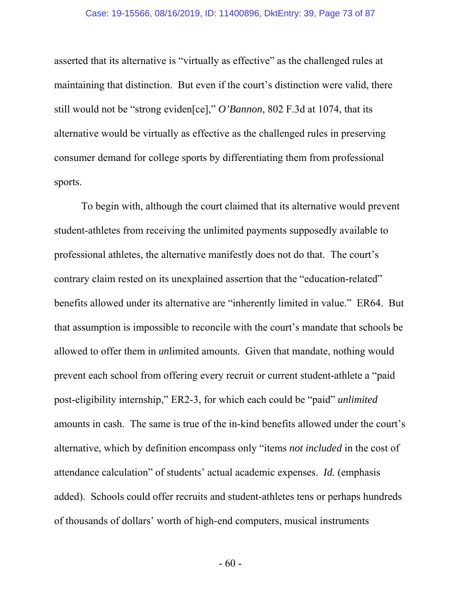#### Case: 19-15566, 08/16/2019, ID: 11400896, DktEntry: 39, Page 73 of 87

asserted that its alternative is "virtually as effective" as the challenged rules at maintaining that distinction. But even if the court's distinction were valid, there still would not be "strong eviden[ce]," *O'Bannon*, 802 F.3d at 1074, that its alternative would be virtually as effective as the challenged rules in preserving consumer demand for college sports by differentiating them from professional sports.

To begin with, although the court claimed that its alternative would prevent student-athletes from receiving the unlimited payments supposedly available to professional athletes, the alternative manifestly does not do that. The court's contrary claim rested on its unexplained assertion that the "education-related" benefits allowed under its alternative are "inherently limited in value." ER64. But that assumption is impossible to reconcile with the court's mandate that schools be allowed to offer them in *un*limited amounts. Given that mandate, nothing would prevent each school from offering every recruit or current student-athlete a "paid post-eligibility internship," ER2-3, for which each could be "paid" *unlimited* amounts in cash. The same is true of the in-kind benefits allowed under the court's alternative, which by definition encompass only "items *not included* in the cost of attendance calculation" of students' actual academic expenses. *Id.* (emphasis added). Schools could offer recruits and student-athletes tens or perhaps hundreds of thousands of dollars' worth of high-end computers, musical instruments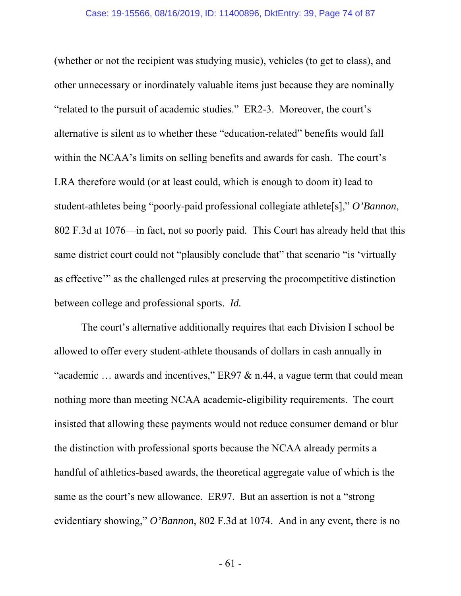(whether or not the recipient was studying music), vehicles (to get to class), and other unnecessary or inordinately valuable items just because they are nominally "related to the pursuit of academic studies." ER2-3. Moreover, the court's alternative is silent as to whether these "education-related" benefits would fall within the NCAA's limits on selling benefits and awards for cash. The court's LRA therefore would (or at least could, which is enough to doom it) lead to student-athletes being "poorly-paid professional collegiate athlete[s]," *O'Bannon*, 802 F.3d at 1076—in fact, not so poorly paid. This Court has already held that this same district court could not "plausibly conclude that" that scenario "is 'virtually as effective'" as the challenged rules at preserving the procompetitive distinction between college and professional sports. *Id.*

The court's alternative additionally requires that each Division I school be allowed to offer every student-athlete thousands of dollars in cash annually in "academic  $\ldots$  awards and incentives," ER97 & n.44, a vague term that could mean nothing more than meeting NCAA academic-eligibility requirements. The court insisted that allowing these payments would not reduce consumer demand or blur the distinction with professional sports because the NCAA already permits a handful of athletics-based awards, the theoretical aggregate value of which is the same as the court's new allowance. ER97. But an assertion is not a "strong evidentiary showing," *O'Bannon*, 802 F.3d at 1074. And in any event, there is no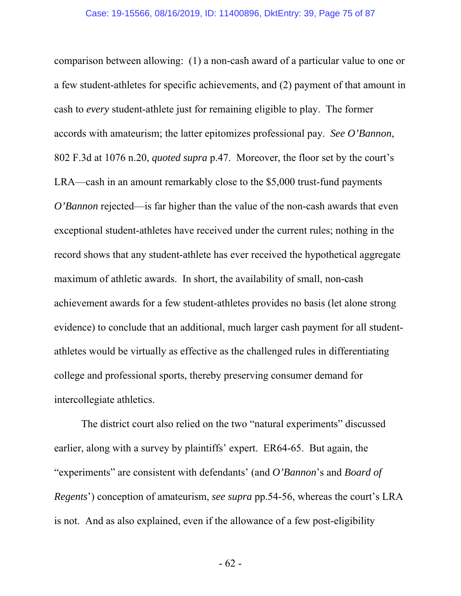comparison between allowing: (1) a non-cash award of a particular value to one or a few student-athletes for specific achievements, and (2) payment of that amount in cash to *every* student-athlete just for remaining eligible to play. The former accords with amateurism; the latter epitomizes professional pay. *See O'Bannon*, 802 F.3d at 1076 n.20, *quoted supra* p.47. Moreover, the floor set by the court's LRA—cash in an amount remarkably close to the \$5,000 trust-fund payments *O'Bannon* rejected—is far higher than the value of the non-cash awards that even exceptional student-athletes have received under the current rules; nothing in the record shows that any student-athlete has ever received the hypothetical aggregate maximum of athletic awards. In short, the availability of small, non-cash achievement awards for a few student-athletes provides no basis (let alone strong evidence) to conclude that an additional, much larger cash payment for all studentathletes would be virtually as effective as the challenged rules in differentiating college and professional sports, thereby preserving consumer demand for intercollegiate athletics.

The district court also relied on the two "natural experiments" discussed earlier, along with a survey by plaintiffs' expert. ER64-65. But again, the "experiments" are consistent with defendants' (and *O'Bannon*'s and *Board of Regents*') conception of amateurism, *see supra* pp.54-56, whereas the court's LRA is not. And as also explained, even if the allowance of a few post-eligibility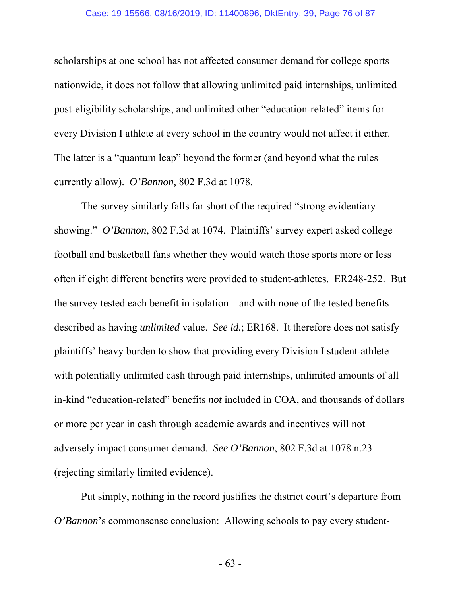#### Case: 19-15566, 08/16/2019, ID: 11400896, DktEntry: 39, Page 76 of 87

scholarships at one school has not affected consumer demand for college sports nationwide, it does not follow that allowing unlimited paid internships, unlimited post-eligibility scholarships, and unlimited other "education-related" items for every Division I athlete at every school in the country would not affect it either. The latter is a "quantum leap" beyond the former (and beyond what the rules currently allow). *O'Bannon*, 802 F.3d at 1078.

The survey similarly falls far short of the required "strong evidentiary showing." *O'Bannon*, 802 F.3d at 1074. Plaintiffs' survey expert asked college football and basketball fans whether they would watch those sports more or less often if eight different benefits were provided to student-athletes. ER248-252. But the survey tested each benefit in isolation—and with none of the tested benefits described as having *unlimited* value. *See id.*; ER168. It therefore does not satisfy plaintiffs' heavy burden to show that providing every Division I student-athlete with potentially unlimited cash through paid internships, unlimited amounts of all in-kind "education-related" benefits *not* included in COA, and thousands of dollars or more per year in cash through academic awards and incentives will not adversely impact consumer demand. *See O'Bannon*, 802 F.3d at 1078 n.23 (rejecting similarly limited evidence).

Put simply, nothing in the record justifies the district court's departure from *O'Bannon*'s commonsense conclusion: Allowing schools to pay every student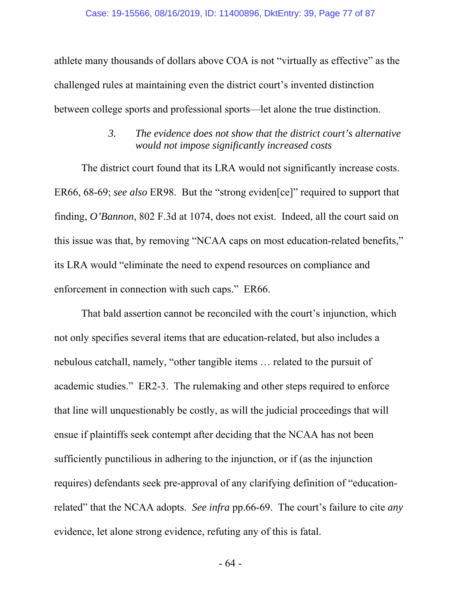athlete many thousands of dollars above COA is not "virtually as effective" as the challenged rules at maintaining even the district court's invented distinction between college sports and professional sports—let alone the true distinction.

### *3. The evidence does not show that the district court's alternative would not impose significantly increased costs*

The district court found that its LRA would not significantly increase costs. ER66, 68-69; *see also* ER98. But the "strong eviden[ce]" required to support that finding, *O'Bannon*, 802 F.3d at 1074, does not exist. Indeed, all the court said on this issue was that, by removing "NCAA caps on most education-related benefits," its LRA would "eliminate the need to expend resources on compliance and enforcement in connection with such caps." ER66.

That bald assertion cannot be reconciled with the court's injunction, which not only specifies several items that are education-related, but also includes a nebulous catchall, namely, "other tangible items … related to the pursuit of academic studies." ER2-3. The rulemaking and other steps required to enforce that line will unquestionably be costly, as will the judicial proceedings that will ensue if plaintiffs seek contempt after deciding that the NCAA has not been sufficiently punctilious in adhering to the injunction, or if (as the injunction requires) defendants seek pre-approval of any clarifying definition of "educationrelated" that the NCAA adopts. *See infra* pp.66-69. The court's failure to cite *any* evidence, let alone strong evidence, refuting any of this is fatal.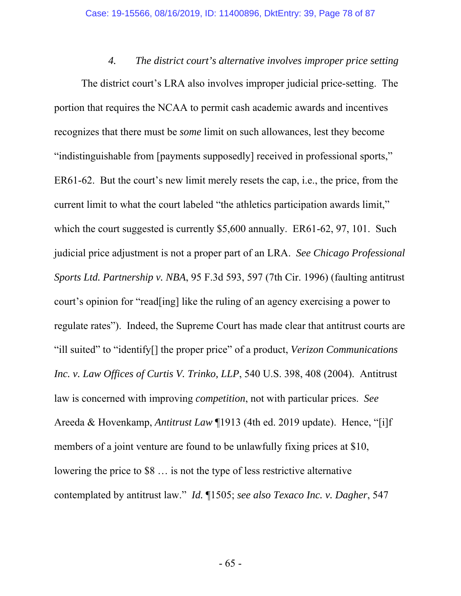*4. The district court's alternative involves improper price setting* The district court's LRA also involves improper judicial price-setting. The portion that requires the NCAA to permit cash academic awards and incentives recognizes that there must be *some* limit on such allowances, lest they become "indistinguishable from [payments supposedly] received in professional sports," ER61-62. But the court's new limit merely resets the cap, i.e., the price, from the current limit to what the court labeled "the athletics participation awards limit," which the court suggested is currently \$5,600 annually. ER61-62, 97, 101. Such judicial price adjustment is not a proper part of an LRA. *See Chicago Professional Sports Ltd. Partnership v. NBA*, 95 F.3d 593, 597 (7th Cir. 1996) (faulting antitrust court's opinion for "read[ing] like the ruling of an agency exercising a power to regulate rates"). Indeed, the Supreme Court has made clear that antitrust courts are "ill suited" to "identify[] the proper price" of a product, *Verizon Communications Inc. v. Law Offices of Curtis V. Trinko, LLP*, 540 U.S. 398, 408 (2004). Antitrust law is concerned with improving *competition*, not with particular prices. *See* Areeda & Hovenkamp, *Antitrust Law* ¶1913 (4th ed. 2019 update). Hence, "[i]f members of a joint venture are found to be unlawfully fixing prices at \$10, lowering the price to \$8 … is not the type of less restrictive alternative contemplated by antitrust law." *Id.* ¶1505; *see also Texaco Inc. v. Dagher*, 547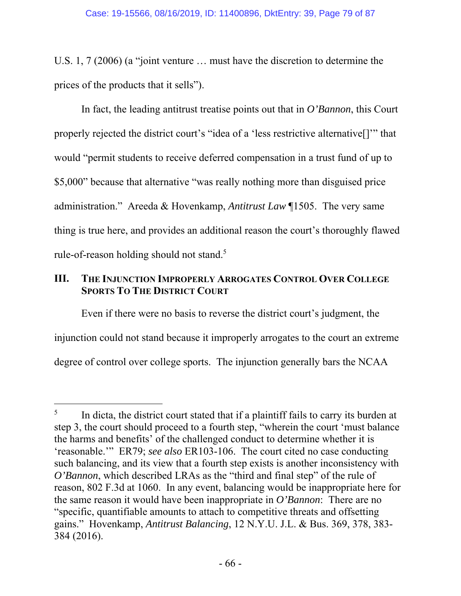U.S. 1, 7 (2006) (a "joint venture … must have the discretion to determine the prices of the products that it sells").

In fact, the leading antitrust treatise points out that in *O'Bannon*, this Court properly rejected the district court's "idea of a 'less restrictive alternative[]'" that would "permit students to receive deferred compensation in a trust fund of up to \$5,000" because that alternative "was really nothing more than disguised price administration." Areeda & Hovenkamp, *Antitrust Law* ¶1505. The very same thing is true here, and provides an additional reason the court's thoroughly flawed rule-of-reason holding should not stand.<sup>5</sup>

### **III. THE INJUNCTION IMPROPERLY ARROGATES CONTROL OVER COLLEGE SPORTS TO THE DISTRICT COURT**

Even if there were no basis to reverse the district court's judgment, the injunction could not stand because it improperly arrogates to the court an extreme degree of control over college sports. The injunction generally bars the NCAA

-

<sup>5</sup> In dicta, the district court stated that if a plaintiff fails to carry its burden at step 3, the court should proceed to a fourth step, "wherein the court 'must balance the harms and benefits' of the challenged conduct to determine whether it is 'reasonable.'" ER79; *see also* ER103-106. The court cited no case conducting such balancing, and its view that a fourth step exists is another inconsistency with *O'Bannon*, which described LRAs as the "third and final step" of the rule of reason, 802 F.3d at 1060. In any event, balancing would be inappropriate here for the same reason it would have been inappropriate in *O'Bannon*: There are no "specific, quantifiable amounts to attach to competitive threats and offsetting gains." Hovenkamp, *Antitrust Balancing*, 12 N.Y.U. J.L. & Bus. 369, 378, 383- 384 (2016).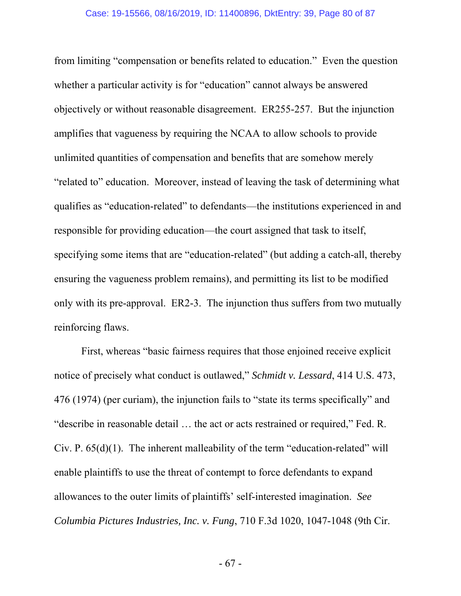from limiting "compensation or benefits related to education." Even the question whether a particular activity is for "education" cannot always be answered objectively or without reasonable disagreement. ER255-257. But the injunction amplifies that vagueness by requiring the NCAA to allow schools to provide unlimited quantities of compensation and benefits that are somehow merely "related to" education. Moreover, instead of leaving the task of determining what qualifies as "education-related" to defendants—the institutions experienced in and responsible for providing education—the court assigned that task to itself, specifying some items that are "education-related" (but adding a catch-all, thereby ensuring the vagueness problem remains), and permitting its list to be modified only with its pre-approval. ER2-3. The injunction thus suffers from two mutually reinforcing flaws.

First, whereas "basic fairness requires that those enjoined receive explicit notice of precisely what conduct is outlawed," *Schmidt v. Lessard*, 414 U.S. 473, 476 (1974) (per curiam), the injunction fails to "state its terms specifically" and "describe in reasonable detail … the act or acts restrained or required," Fed. R. Civ. P.  $65(d)(1)$ . The inherent malleability of the term "education-related" will enable plaintiffs to use the threat of contempt to force defendants to expand allowances to the outer limits of plaintiffs' self-interested imagination. *See Columbia Pictures Industries, Inc. v. Fung*, 710 F.3d 1020, 1047-1048 (9th Cir.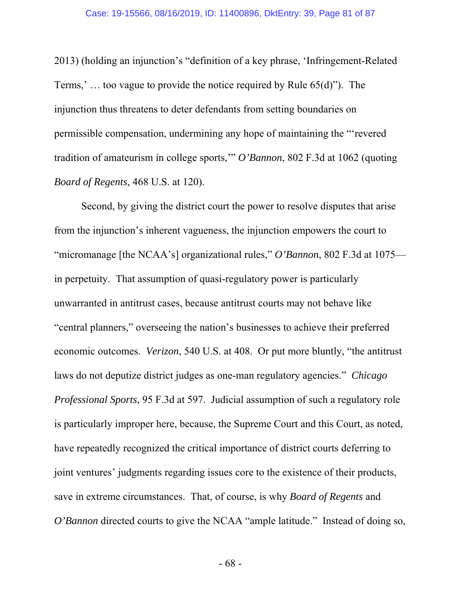2013) (holding an injunction's "definition of a key phrase, 'Infringement-Related Terms,' … too vague to provide the notice required by Rule 65(d)"). The injunction thus threatens to deter defendants from setting boundaries on permissible compensation, undermining any hope of maintaining the "'revered tradition of amateurism in college sports,'" *O'Bannon*, 802 F.3d at 1062 (quoting *Board of Regents*, 468 U.S. at 120).

Second, by giving the district court the power to resolve disputes that arise from the injunction's inherent vagueness, the injunction empowers the court to "micromanage [the NCAA's] organizational rules," *O'Bannon*, 802 F.3d at 1075 in perpetuity. That assumption of quasi-regulatory power is particularly unwarranted in antitrust cases, because antitrust courts may not behave like "central planners," overseeing the nation's businesses to achieve their preferred economic outcomes. *Verizon*, 540 U.S. at 408. Or put more bluntly, "the antitrust laws do not deputize district judges as one-man regulatory agencies." *Chicago Professional Sports*, 95 F.3d at 597. Judicial assumption of such a regulatory role is particularly improper here, because, the Supreme Court and this Court, as noted, have repeatedly recognized the critical importance of district courts deferring to joint ventures' judgments regarding issues core to the existence of their products, save in extreme circumstances. That, of course, is why *Board of Regents* and *O'Bannon* directed courts to give the NCAA "ample latitude." Instead of doing so,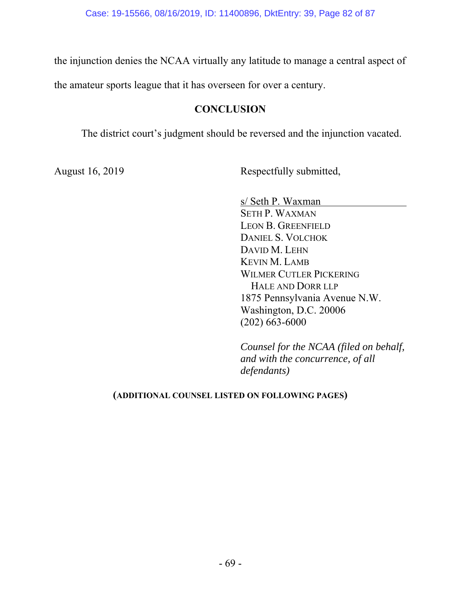the injunction denies the NCAA virtually any latitude to manage a central aspect of

the amateur sports league that it has overseen for over a century.

### **CONCLUSION**

The district court's judgment should be reversed and the injunction vacated.

August 16, 2019 Respectfully submitted,

s/ Seth P. Waxman

SETH P. WAXMAN LEON B. GREENFIELD DANIEL S. VOLCHOK DAVID M. LEHN KEVIN M. LAMB WILMER CUTLER PICKERING HALE AND DORR LLP 1875 Pennsylvania Avenue N.W. Washington, D.C. 20006 (202) 663-6000

*Counsel for the NCAA (filed on behalf, and with the concurrence, of all defendants)*

#### **(ADDITIONAL COUNSEL LISTED ON FOLLOWING PAGES)**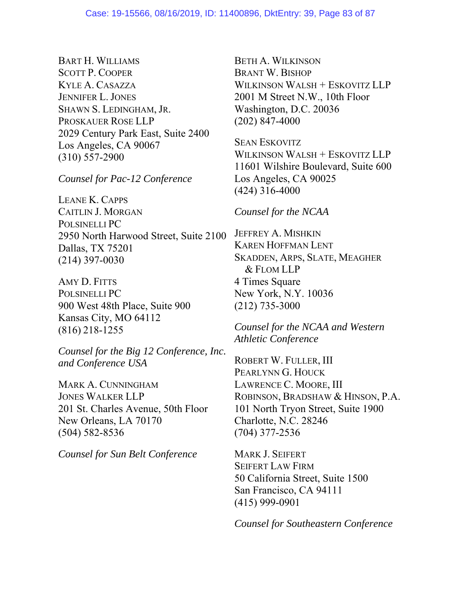BART H. WILLIAMS SCOTT P. COOPER KYLE A. CASAZZA JENNIFER L. JONES SHAWN S. LEDINGHAM, JR. PROSKAUER ROSE LLP 2029 Century Park East, Suite 2400 Los Angeles, CA 90067 (310) 557-2900

*Counsel for Pac-12 Conference* 

LEANE K. CAPPS CAITLIN J. MORGAN POLSINELLI PC 2950 North Harwood Street, Suite 2100 Dallas, TX 75201 (214) 397-0030

AMY D. FITTS POLSINELLI PC 900 West 48th Place, Suite 900 Kansas City, MO 64112 (816) 218-1255

*Counsel for the Big 12 Conference, Inc. and Conference USA*

MARK A. CUNNINGHAM JONES WALKER LLP 201 St. Charles Avenue, 50th Floor New Orleans, LA 70170 (504) 582-8536

*Counsel for Sun Belt Conference*

BETH A. WILKINSON BRANT W. BISHOP WILKINSON WALSH + ESKOVITZ LLP 2001 M Street N.W., 10th Floor Washington, D.C. 20036 (202) 847-4000

SEAN ESKOVITZ WILKINSON WALSH + ESKOVITZ LLP 11601 Wilshire Boulevard, Suite 600 Los Angeles, CA 90025 (424) 316-4000

#### *Counsel for the NCAA*

JEFFREY A. MISHKIN KAREN HOFFMAN LENT SKADDEN, ARPS, SLATE, MEAGHER & FLOM LLP 4 Times Square New York, N.Y. 10036 (212) 735-3000

*Counsel for the NCAA and Western Athletic Conference*

ROBERT W. FULLER, III PEARLYNN G. HOUCK LAWRENCE C. MOORE, III ROBINSON, BRADSHAW & HINSON, P.A. 101 North Tryon Street, Suite 1900 Charlotte, N.C. 28246 (704) 377-2536

MARK J. SEIFERT SEIFERT LAW FIRM 50 California Street, Suite 1500 San Francisco, CA 94111 (415) 999-0901

*Counsel for Southeastern Conference*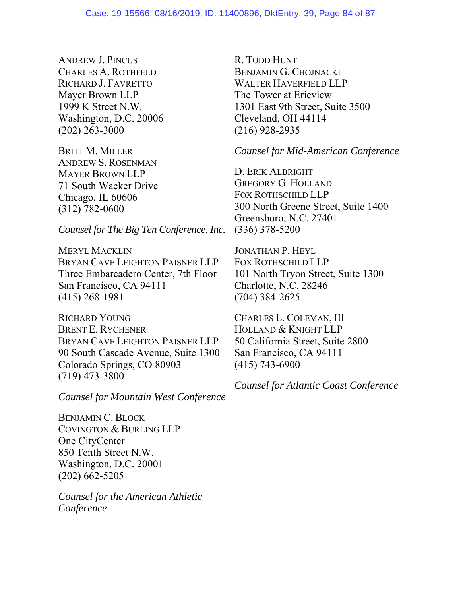ANDREW J. PINCUS CHARLES A. ROTHFELD RICHARD J. FAVRETTO Mayer Brown LLP 1999 K Street N.W. Washington, D.C. 20006 (202) 263-3000

BRITT M. MILLER ANDREW S. ROSENMAN MAYER BROWN LLP 71 South Wacker Drive Chicago, IL 60606 (312) 782-0600

*Counsel for The Big Ten Conference, Inc.* 

MERYL MACKLIN BRYAN CAVE LEIGHTON PAISNER LLP Three Embarcadero Center, 7th Floor San Francisco, CA 94111 (415) 268-1981

RICHARD YOUNG BRENT E. RYCHENER BRYAN CAVE LEIGHTON PAISNER LLP 90 South Cascade Avenue, Suite 1300 Colorado Springs, CO 80903 (719) 473-3800

*Counsel for Mountain West Conference* 

BENJAMIN C. BLOCK COVINGTON & BURLING LLP One CityCenter 850 Tenth Street N.W. Washington, D.C. 20001 (202) 662-5205

*Counsel for the American Athletic Conference* 

R. TODD HUNT BENJAMIN G. CHOJNACKI WALTER HAVERFIELD LLP The Tower at Erieview 1301 East 9th Street, Suite 3500 Cleveland, OH 44114 (216) 928-2935

*Counsel for Mid-American Conference*

D. ERIK ALBRIGHT GREGORY G. HOLLAND FOX ROTHSCHILD LLP 300 North Greene Street, Suite 1400 Greensboro, N.C. 27401 (336) 378-5200

JONATHAN P. HEYL FOX ROTHSCHILD LLP 101 North Tryon Street, Suite 1300 Charlotte, N.C. 28246 (704) 384-2625

CHARLES L. COLEMAN, III HOLLAND & KNIGHT LLP 50 California Street, Suite 2800 San Francisco, CA 94111 (415) 743-6900

*Counsel for Atlantic Coast Conference*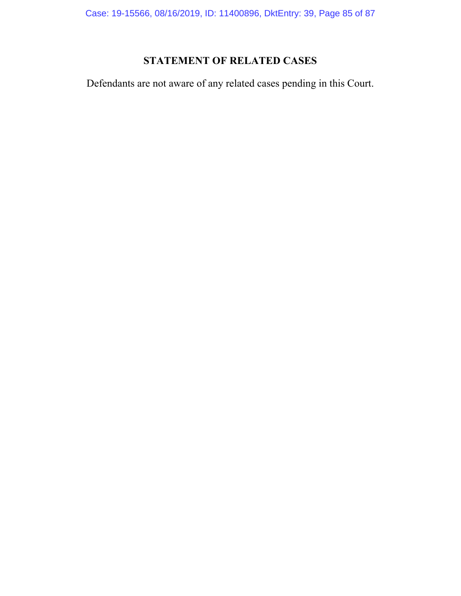Case: 19-15566, 08/16/2019, ID: 11400896, DktEntry: 39, Page 85 of 87

# **STATEMENT OF RELATED CASES**

Defendants are not aware of any related cases pending in this Court.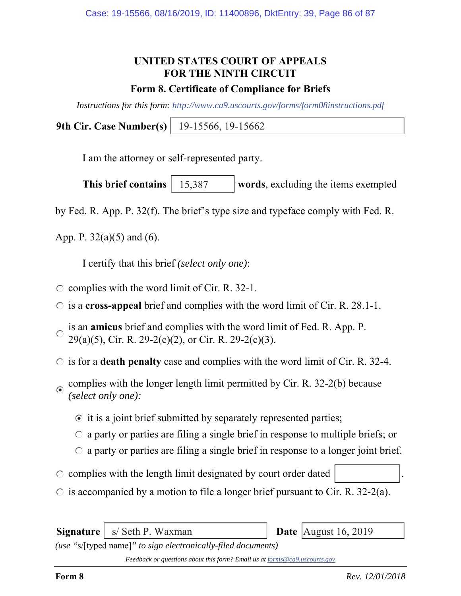## **UNITED STATES COURT OF APPEALS FOR THE NINTH CIRCUIT**

#### **Form 8. Certificate of Compliance for Briefs**

*Instructions for this form: http://www.ca9.uscourts.gov/forms/form08instructions.pdf*

**9th Cir. Case Number(s)** 19-15566, 19-15662

I am the attorney or self-represented party.

**This brief contains** | 15,387 words, excluding the items exempted 15,387

by Fed. R. App. P. 32(f). The brief's type size and typeface comply with Fed. R.

App. P.  $32(a)(5)$  and  $(6)$ .

I certify that this brief *(select only one)*:

- $\circ$  complies with the word limit of Cir. R. 32-1.
- is a **cross-appeal** brief and complies with the word limit of Cir. R. 28.1-1.
- is an **amicus** brief and complies with the word limit of Fed. R. App. P.  $\bigcap$ 29(a)(5), Cir. R. 29-2(c)(2), or Cir. R. 29-2(c)(3).
- $\circ$  is for a **death penalty** case and complies with the word limit of Cir. R. 32-4.
- complies with the longer length limit permitted by Cir. R. 32-2(b) because *(select only one):*
	- $\odot$  it is a joint brief submitted by separately represented parties;
	- $\circ$  a party or parties are filing a single brief in response to multiple briefs; or
	- $\circ$  a party or parties are filing a single brief in response to a longer joint brief.
- $\circ$  complies with the length limit designated by court order dated
- $\circ$  is accompanied by a motion to file a longer brief pursuant to Cir. R. 32-2(a).

**Signature** | s/ Seth P. Waxman

**Date** August 16, 2019

*(use "*s/[typed name]*" to sign electronically-filed documents)*

*Feedback or questions about this form? Email us at forms@ca9.uscourts.gov*